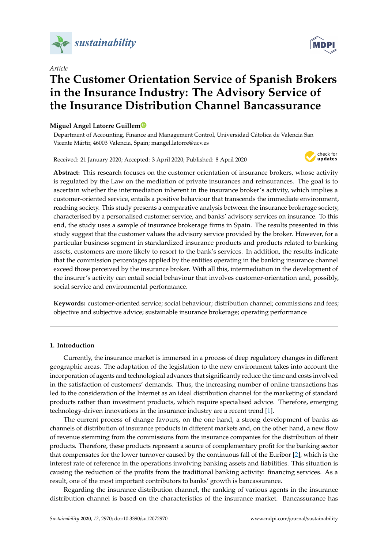

*Article*

# **The Customer Orientation Service of Spanish Brokers in the Insurance Industry: The Advisory Service of the Insurance Distribution Channel Bancassurance**

# **Miguel Angel Latorre Guille[m](https://orcid.org/0000-0003-0748-520X)**

Department of Accounting, Finance and Management Control, Universidad Cátolica de Valencia San Vicente Mártir, 46003 Valencia, Spain; mangel.latorre@ucv.es

Received: 21 January 2020; Accepted: 3 April 2020; Published: 8 April 2020



**Abstract:** This research focuses on the customer orientation of insurance brokers, whose activity is regulated by the Law on the mediation of private insurances and reinsurances. The goal is to ascertain whether the intermediation inherent in the insurance broker's activity, which implies a customer-oriented service, entails a positive behaviour that transcends the immediate environment, reaching society. This study presents a comparative analysis between the insurance brokerage society, characterised by a personalised customer service, and banks' advisory services on insurance. To this end, the study uses a sample of insurance brokerage firms in Spain. The results presented in this study suggest that the customer values the advisory service provided by the broker. However, for a particular business segment in standardized insurance products and products related to banking assets, customers are more likely to resort to the bank's services. In addition, the results indicate that the commission percentages applied by the entities operating in the banking insurance channel exceed those perceived by the insurance broker. With all this, intermediation in the development of the insurer's activity can entail social behaviour that involves customer-orientation and, possibly, social service and environmental performance.

**Keywords:** customer-oriented service; social behaviour; distribution channel; commissions and fees; objective and subjective advice; sustainable insurance brokerage; operating performance

# **1. Introduction**

Currently, the insurance market is immersed in a process of deep regulatory changes in different geographic areas. The adaptation of the legislation to the new environment takes into account the incorporation of agents and technological advances that significantly reduce the time and costs involved in the satisfaction of customers' demands. Thus, the increasing number of online transactions has led to the consideration of the Internet as an ideal distribution channel for the marketing of standard products rather than investment products, which require specialised advice. Therefore, emerging technology-driven innovations in the insurance industry are a recent trend [\[1\]](#page-18-0).

The current process of change favours, on the one hand, a strong development of banks as channels of distribution of insurance products in different markets and, on the other hand, a new flow of revenue stemming from the commissions from the insurance companies for the distribution of their products. Therefore, these products represent a source of complementary profit for the banking sector that compensates for the lower turnover caused by the continuous fall of the Euribor [\[2\]](#page-18-1), which is the interest rate of reference in the operations involving banking assets and liabilities. This situation is causing the reduction of the profits from the traditional banking activity: financing services. As a result, one of the most important contributors to banks' growth is bancassurance.

Regarding the insurance distribution channel, the ranking of various agents in the insurance distribution channel is based on the characteristics of the insurance market. Bancassurance has

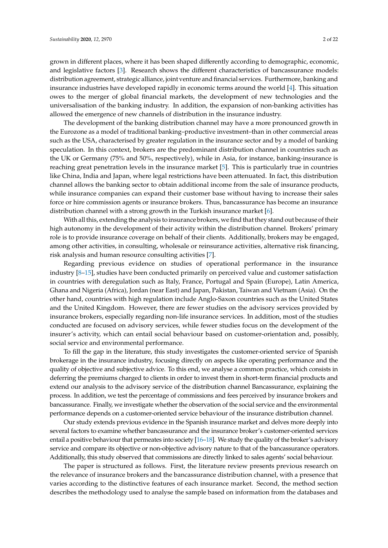grown in different places, where it has been shaped differently according to demographic, economic, and legislative factors [\[3\]](#page-18-2). Research shows the different characteristics of bancassurance models: distribution agreement, strategic alliance, joint venture and financial services. Furthermore, banking and insurance industries have developed rapidly in economic terms around the world [\[4\]](#page-18-3). This situation owes to the merger of global financial markets, the development of new technologies and the universalisation of the banking industry. In addition, the expansion of non-banking activities has allowed the emergence of new channels of distribution in the insurance industry.

The development of the banking distribution channel may have a more pronounced growth in the Eurozone as a model of traditional banking–productive investment–than in other commercial areas such as the USA, characterised by greater regulation in the insurance sector and by a model of banking speculation. In this context, brokers are the predominant distribution channel in countries such as the UK or Germany (75% and 50%, respectively), while in Asia, for instance, banking-insurance is reaching great penetration levels in the insurance market [\[5\]](#page-18-4). This is particularly true in countries like China, India and Japan, where legal restrictions have been attenuated. In fact, this distribution channel allows the banking sector to obtain additional income from the sale of insurance products, while insurance companies can expand their customer base without having to increase their sales force or hire commission agents or insurance brokers. Thus, bancassurance has become an insurance distribution channel with a strong growth in the Turkish insurance market [\[6\]](#page-18-5).

With all this, extending the analysis to insurance brokers, we find that they stand out because of their high autonomy in the development of their activity within the distribution channel. Brokers' primary role is to provide insurance coverage on behalf of their clients. Additionally, brokers may be engaged, among other activities, in consulting, wholesale or reinsurance activities, alternative risk financing, risk analysis and human resource consulting activities [\[7\]](#page-18-6).

Regarding previous evidence on studies of operational performance in the insurance industry [\[8](#page-18-7)[–15\]](#page-18-8), studies have been conducted primarily on perceived value and customer satisfaction in countries with deregulation such as Italy, France, Portugal and Spain (Europe), Latin America, Ghana and Nigeria (Africa), Jordan (near East) and Japan, Pakistan, Taiwan and Vietnam (Asia). On the other hand, countries with high regulation include Anglo-Saxon countries such as the United States and the United Kingdom. However, there are fewer studies on the advisory services provided by insurance brokers, especially regarding non-life insurance services. In addition, most of the studies conducted are focused on advisory services, while fewer studies focus on the development of the insurer's activity, which can entail social behaviour based on customer-orientation and, possibly, social service and environmental performance.

To fill the gap in the literature, this study investigates the customer-oriented service of Spanish brokerage in the insurance industry, focusing directly on aspects like operating performance and the quality of objective and subjective advice. To this end, we analyse a common practice, which consists in deferring the premiums charged to clients in order to invest them in short-term financial products and extend our analysis to the advisory service of the distribution channel Bancassurance, explaining the process. In addition, we test the percentage of commissions and fees perceived by insurance brokers and bancassurance. Finally, we investigate whether the observation of the social service and the environmental performance depends on a customer-oriented service behaviour of the insurance distribution channel.

Our study extends previous evidence in the Spanish insurance market and delves more deeply into several factors to examine whether bancassurance and the insurance broker's customer-oriented services entail a positive behaviour that permeates into society [\[16–](#page-18-9)[18\]](#page-18-10). We study the quality of the broker's advisory service and compare its objective or non-objective advisory nature to that of the bancassurance operators. Additionally, this study observed that commissions are directly linked to sales agents' social behaviour.

The paper is structured as follows. First, the literature review presents previous research on the relevance of insurance brokers and the bancassurance distribution channel, with a presence that varies according to the distinctive features of each insurance market. Second, the method section describes the methodology used to analyse the sample based on information from the databases and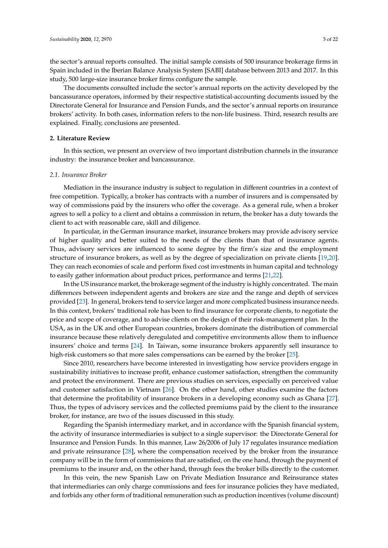the sector's annual reports consulted. The initial sample consists of 500 insurance brokerage firms in Spain included in the Iberian Balance Analysis System [SABI] database between 2013 and 2017. In this study, 500 large-size insurance broker firms configure the sample.

The documents consulted include the sector's annual reports on the activity developed by the bancassurance operators, informed by their respective statistical-accounting documents issued by the Directorate General for Insurance and Pension Funds, and the sector's annual reports on insurance brokers' activity. In both cases, information refers to the non-life business. Third, research results are explained. Finally, conclusions are presented.

## **2. Literature Review**

In this section, we present an overview of two important distribution channels in the insurance industry: the insurance broker and bancassurance.

#### *2.1. Insurance Broker*

Mediation in the insurance industry is subject to regulation in different countries in a context of free competition. Typically, a broker has contracts with a number of insurers and is compensated by way of commissions paid by the insurers who offer the coverage. As a general rule, when a broker agrees to sell a policy to a client and obtains a commission in return, the broker has a duty towards the client to act with reasonable care, skill and diligence.

In particular, in the German insurance market, insurance brokers may provide advisory service of higher quality and better suited to the needs of the clients than that of insurance agents. Thus, advisory services are influenced to some degree by the firm's size and the employment structure of insurance brokers, as well as by the degree of specialization on private clients [\[19,](#page-18-11)[20\]](#page-18-12). They can reach economies of scale and perform fixed cost investments in human capital and technology to easily gather information about product prices, performance and terms [\[21](#page-18-13)[,22\]](#page-18-14).

In the US insurance market, the brokerage segment of the industry is highly concentrated. The main differences between independent agents and brokers are size and the range and depth of services provided [\[23\]](#page-18-15). In general, brokers tend to service larger and more complicated business insurance needs. In this context, brokers' traditional role has been to find insurance for corporate clients, to negotiate the price and scope of coverage, and to advise clients on the design of their risk-management plan. In the USA, as in the UK and other European countries, brokers dominate the distribution of commercial insurance because these relatively deregulated and competitive environments allow them to influence insurers' choice and terms [\[24\]](#page-18-16). In Taiwan, some insurance brokers apparently sell insurance to high-risk customers so that more sales compensations can be earned by the broker [\[25\]](#page-18-17).

Since 2010, researchers have become interested in investigating how service providers engage in sustainability initiatives to increase profit, enhance customer satisfaction, strengthen the community and protect the environment. There are previous studies on services, especially on perceived value and customer satisfaction in Vietnam [\[26\]](#page-18-18). On the other hand, other studies examine the factors that determine the profitability of insurance brokers in a developing economy such as Ghana [\[27\]](#page-18-19). Thus, the types of advisory services and the collected premiums paid by the client to the insurance broker, for instance, are two of the issues discussed in this study.

Regarding the Spanish intermediary market, and in accordance with the Spanish financial system, the activity of insurance intermediaries is subject to a single supervisor: the Directorate General for Insurance and Pension Funds. In this manner, Law 26/2006 of July 17 regulates insurance mediation and private reinsurance [\[28\]](#page-19-0), where the compensation received by the broker from the insurance company will be in the form of commissions that are satisfied, on the one hand, through the payment of premiums to the insurer and, on the other hand, through fees the broker bills directly to the customer.

In this vein, the new Spanish Law on Private Mediation Insurance and Reinsurance states that intermediaries can only charge commissions and fees for insurance policies they have mediated, and forbids any other form of traditional remuneration such as production incentives (volume discount)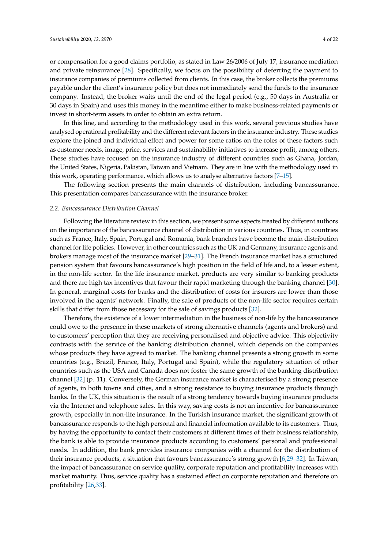or compensation for a good claims portfolio, as stated in Law 26/2006 of July 17, insurance mediation and private reinsurance [\[28\]](#page-19-0). Specifically, we focus on the possibility of deferring the payment to insurance companies of premiums collected from clients. In this case, the broker collects the premiums payable under the client's insurance policy but does not immediately send the funds to the insurance company. Instead, the broker waits until the end of the legal period (e.g., 50 days in Australia or 30 days in Spain) and uses this money in the meantime either to make business-related payments or invest in short-term assets in order to obtain an extra return.

In this line, and according to the methodology used in this work, several previous studies have analysed operational profitability and the different relevant factors in the insurance industry. These studies explore the joined and individual effect and power for some ratios on the roles of these factors such as customer needs, image, price, services and sustainability initiatives to increase profit, among others. These studies have focused on the insurance industry of different countries such as Ghana, Jordan, the United States, Nigeria, Pakistan, Taiwan and Vietnam. They are in line with the methodology used in this work, operating performance, which allows us to analyse alternative factors [\[7](#page-18-6)[–15\]](#page-18-8).

The following section presents the main channels of distribution, including bancassurance. This presentation compares bancassurance with the insurance broker.

#### *2.2. Bancassurance Distribution Channel*

Following the literature review in this section, we present some aspects treated by different authors on the importance of the bancassurance channel of distribution in various countries. Thus, in countries such as France, Italy, Spain, Portugal and Romania, bank branches have become the main distribution channel for life policies. However, in other countries such as the UK and Germany, insurance agents and brokers manage most of the insurance market [\[29](#page-19-1)[–31\]](#page-19-2). The French insurance market has a structured pension system that favours bancassurance's high position in the field of life and, to a lesser extent, in the non-life sector. In the life insurance market, products are very similar to banking products and there are high tax incentives that favour their rapid marketing through the banking channel [\[30\]](#page-19-3). In general, marginal costs for banks and the distribution of costs for insurers are lower than those involved in the agents' network. Finally, the sale of products of the non-life sector requires certain skills that differ from those necessary for the sale of savings products [\[32\]](#page-19-4).

Therefore, the existence of a lower intermediation in the business of non-life by the bancassurance could owe to the presence in these markets of strong alternative channels (agents and brokers) and to customers' perception that they are receiving personalised and objective advice. This objectivity contrasts with the service of the banking distribution channel, which depends on the companies whose products they have agreed to market. The banking channel presents a strong growth in some countries (e.g., Brazil, France, Italy, Portugal and Spain), while the regulatory situation of other countries such as the USA and Canada does not foster the same growth of the banking distribution channel [\[32\]](#page-19-4) (p. 11). Conversely, the German insurance market is characterised by a strong presence of agents, in both towns and cities, and a strong resistance to buying insurance products through banks. In the UK, this situation is the result of a strong tendency towards buying insurance products via the Internet and telephone sales. In this way, saving costs is not an incentive for bancassurance growth, especially in non-life insurance. In the Turkish insurance market, the significant growth of bancassurance responds to the high personal and financial information available to its customers. Thus, by having the opportunity to contact their customers at different times of their business relationship, the bank is able to provide insurance products according to customers' personal and professional needs. In addition, the bank provides insurance companies with a channel for the distribution of their insurance products, a situation that favours bancassurance's strong growth [\[6,](#page-18-5)[29–](#page-19-1)[32\]](#page-19-4). In Taiwan, the impact of bancassurance on service quality, corporate reputation and profitability increases with market maturity. Thus, service quality has a sustained effect on corporate reputation and therefore on profitability [\[26](#page-18-18)[,33\]](#page-19-5).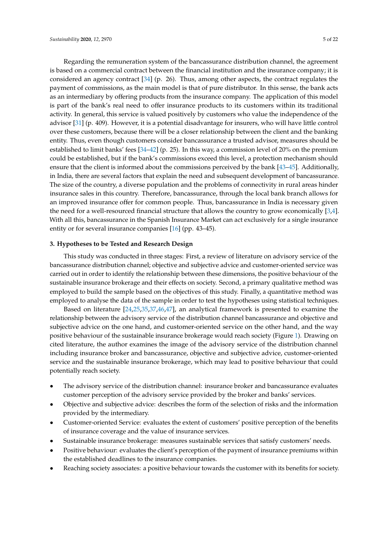Regarding the remuneration system of the bancassurance distribution channel, the agreement is based on a commercial contract between the financial institution and the insurance company; it is considered an agency contract [\[34\]](#page-19-6) (p. 26). Thus, among other aspects, the contract regulates the payment of commissions, as the main model is that of pure distributor. In this sense, the bank acts as an intermediary by offering products from the insurance company. The application of this model is part of the bank's real need to offer insurance products to its customers within its traditional activity. In general, this service is valued positively by customers who value the independence of the advisor [\[31\]](#page-19-2) (p. 409). However, it is a potential disadvantage for insurers, who will have little control over these customers, because there will be a closer relationship between the client and the banking entity. Thus, even though customers consider bancassurance a trusted advisor, measures should be established to limit banks' fees [\[34–](#page-19-6)[42\]](#page-19-7) (p. 25). In this way, a commission level of 20% on the premium could be established, but if the bank's commissions exceed this level, a protection mechanism should ensure that the client is informed about the commissions perceived by the bank [\[43](#page-19-8)[–45\]](#page-19-9). Additionally, in India, there are several factors that explain the need and subsequent development of bancassurance. The size of the country, a diverse population and the problems of connectivity in rural areas hinder insurance sales in this country. Therefore, bancassurance, through the local bank branch allows for an improved insurance offer for common people. Thus, bancassurance in India is necessary given the need for a well-resourced financial structure that allows the country to grow economically [\[3,](#page-18-2)[4\]](#page-18-3). With all this, bancassurance in the Spanish Insurance Market can act exclusively for a single insurance entity or for several insurance companies [\[16\]](#page-18-9) (pp. 43–45).

#### <span id="page-4-0"></span>**3. Hypotheses to be Tested and Research Design**

This study was conducted in three stages: First, a review of literature on advisory service of the bancassurance distribution channel; objective and subjective advice and customer-oriented service was carried out in order to identify the relationship between these dimensions, the positive behaviour of the sustainable insurance brokerage and their effects on society. Second, a primary qualitative method was employed to build the sample based on the objectives of this study. Finally, a quantitative method was employed to analyse the data of the sample in order to test the hypotheses using statistical techniques.

Based on literature [\[24,](#page-18-16)[25,](#page-18-17)[35,](#page-19-10)[37,](#page-19-11)[46,](#page-19-12)[47\]](#page-19-13), an analytical framework is presented to examine the relationship between the advisory service of the distribution channel bancassurance and objective and subjective advice on the one hand, and customer-oriented service on the other hand, and the way positive behaviour of the sustainable insurance brokerage would reach society (Figure [1\)](#page-5-0). Drawing on cited literature, the author examines the image of the advisory service of the distribution channel including insurance broker and bancassurance, objective and subjective advice, customer-oriented service and the sustainable insurance brokerage, which may lead to positive behaviour that could potentially reach society.

- The advisory service of the distribution channel: insurance broker and bancassurance evaluates customer perception of the advisory service provided by the broker and banks' services.
- Objective and subjective advice: describes the form of the selection of risks and the information provided by the intermediary.
- Customer-oriented Service: evaluates the extent of customers' positive perception of the benefits of insurance coverage and the value of insurance services.
- Sustainable insurance brokerage: measures sustainable services that satisfy customers' needs.
- Positive behaviour: evaluates the client's perception of the payment of insurance premiums within the established deadlines to the insurance companies.
- Reaching society associates: a positive behaviour towards the customer with its benefits for society.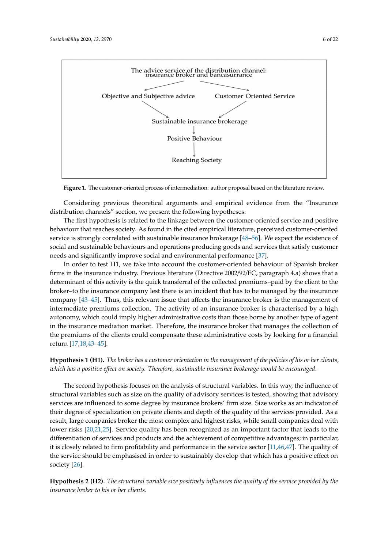<span id="page-5-0"></span>

**Figure 1.** The customer-oriented process of intermediation: author proposal based on the literature review.

Considering previous theoretical arguments and empirical evidence from the "Insurance distribution channels" section, we present the following hypotheses:

The first hypothesis is related to the linkage between the customer-oriented service and positive behaviour that reaches society. As found in the cited empirical literature, perceived customer-oriented service is strongly correlated with sustainable insurance brokerage [\[48](#page-19-14)[–56\]](#page-20-0). We expect the existence of social and sustainable behaviours and operations producing goods and services that satisfy customer needs and significantly improve social and environmental performance [\[37\]](#page-19-11).

In order to test H1, we take into account the customer-oriented behaviour of Spanish broker firms in the insurance industry. Previous literature (Directive 2002/92/EC, paragraph 4.a) shows that a determinant of this activity is the quick transferral of the collected premiums-paid by the client to the broker–to the insurance company lest there is an incident that has to be managed by the insurance company [43–45]. Thus, this relevant issue that affects the insurance broker is the management of intermediate premiums collection. The activity of an insurance broker is characterised by a high autonomy, which could imply higher administrative costs than those borne by another type of agent in the insurance mediation market. Therefore, the insurance broker that manages the collection of  $\Gamma$  Considering previous theoretical arguments arguments arguments arguments and  $\Gamma$ distribution channels" section, we present the following hypotheses: the premiums of the clients could compensate these administrative costs by looking for a financial return [\[17](#page-18-20)[,18](#page-18-10)[,43–](#page-19-8)[45\]](#page-19-9).

Hypothesis 1 (H1). The broker has a customer orientation in the management of the policies of his or her clients,  $w$ hich has a positive effect on society. Therefore, sustainable insurance brokerage would be encouraged.

The second hypothesis focuses on the analysis of structural variables. In this way, the influence of structural variables such as size on the quality of advisory services is tested, showing that advisory services are influenced to some degree by insurance brokers' firm size. Size works as an indicator of their degree of specialization on private clients and depth of the quality of the services provided. As a result, large companies broker the most complex and highest risks, while small companies deal with lower risks [20,21,25]. Service quality has been recognized as an important factor that leads [to t](#page-18-12)he differentiation of services and products and the achievement of competitive advantages; in particular, it is closely related to firm profitability and performance in the service sector [11,46,47]. The quality of the service should be emphasised in order to sustainably develop that which has a positive effect on  $\rm{score}$  [26].

**Hypothesis 2 (H2).** The structural variable size positively influences the quality of the service provided by the *insurance broker to his or her clients.*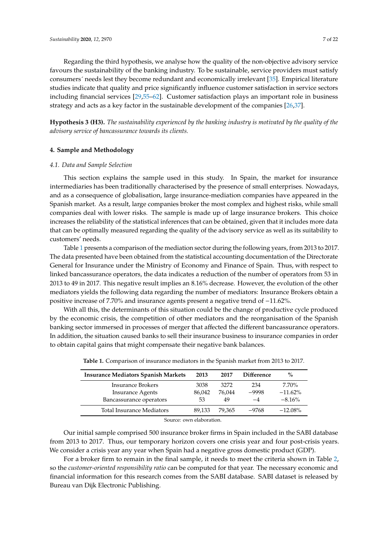Regarding the third hypothesis, we analyse how the quality of the non-objective advisory service favours the sustainability of the banking industry. To be sustainable, service providers must satisfy consumers´ needs lest they become redundant and economically irrelevant [\[35\]](#page-19-10). Empirical literature studies indicate that quality and price significantly influence customer satisfaction in service sectors including financial services [\[29,](#page-19-1)[55](#page-20-1)[–62\]](#page-20-2). Customer satisfaction plays an important role in business strategy and acts as a key factor in the sustainable development of the companies [\[26](#page-18-18)[,37\]](#page-19-11).

**Hypothesis 3 (H3).** *The sustainability experienced by the banking industry is motivated by the quality of the advisory service of bancassurance towards its clients.*

# **4. Sample and Methodology**

## <span id="page-6-1"></span>*4.1. Data and Sample Selection*

This section explains the sample used in this study. In Spain, the market for insurance intermediaries has been traditionally characterised by the presence of small enterprises. Nowadays, and as a consequence of globalisation, large insurance-mediation companies have appeared in the Spanish market. As a result, large companies broker the most complex and highest risks, while small companies deal with lower risks. The sample is made up of large insurance brokers. This choice increases the reliability of the statistical inferences that can be obtained, given that it includes more data that can be optimally measured regarding the quality of the advisory service as well as its suitability to customers' needs.

Table [1](#page-6-0) presents a comparison of the mediation sector during the following years, from 2013 to 2017. The data presented have been obtained from the statistical accounting documentation of the Directorate General for Insurance under the Ministry of Economy and Finance of Spain. Thus, with respect to linked bancassurance operators, the data indicates a reduction of the number of operators from 53 in 2013 to 49 in 2017. This negative result implies an 8.16% decrease. However, the evolution of the other mediators yields the following data regarding the number of mediators: Insurance Brokers obtain a positive increase of 7.70% and insurance agents present a negative trend of −11.62%.

With all this, the determinants of this situation could be the change of productive cycle produced by the economic crisis, the competition of other mediators and the reorganisation of the Spanish banking sector immersed in processes of merger that affected the different bancassurance operators. In addition, the situation caused banks to sell their insurance business to insurance companies in order to obtain capital gains that might compensate their negative bank balances.

| <b>Insurance Mediators Spanish Markets</b> | 2013          | 2017   | <b>Difference</b> | $\frac{0}{0}$ |
|--------------------------------------------|---------------|--------|-------------------|---------------|
| Insurance Brokers                          | 3038          | 3272   | 234               | 7.70%         |
| <b>Insurance Agents</b>                    | 86,042        | 76,044 | $-9998$           | $-11.62%$     |
| Bancassurance operators                    | 53            | 49     | $-4$              | $-8.16%$      |
| <b>Total Insurance Mediators</b>           | 89.133        | 79.365 | -9768             | $-12.08%$     |
| $\sim$                                     | $\sim$ $\sim$ |        |                   |               |

<span id="page-6-0"></span>**Table 1.** Comparison of insurance mediators in the Spanish market from 2013 to 2017.

Source: own elaboration.

Our initial sample comprised 500 insurance broker firms in Spain included in the SABI database from 2013 to 2017. Thus, our temporary horizon covers one crisis year and four post-crisis years. We consider a crisis year any year when Spain had a negative gross domestic product (GDP).

For a broker firm to remain in the final sample, it needs to meet the criteria shown in Table [2,](#page-7-0) so the *customer-oriented responsibility ratio* can be computed for that year. The necessary economic and financial information for this research comes from the SABI database. SABI dataset is released by Bureau van Dijk Electronic Publishing.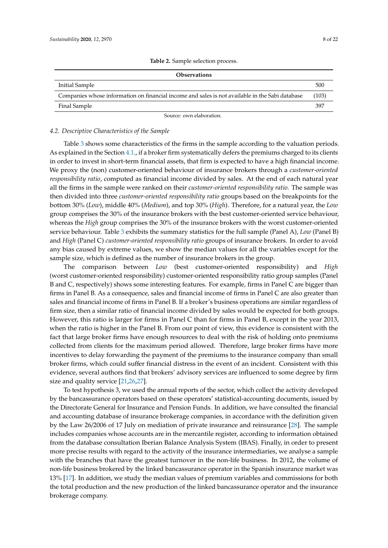<span id="page-7-0"></span>

| <b>Observations</b>                                                                             |       |  |  |  |  |  |
|-------------------------------------------------------------------------------------------------|-------|--|--|--|--|--|
| Initial Sample                                                                                  | 500   |  |  |  |  |  |
| Companies whose information on financial income and sales is not available in the Sabi database | (103) |  |  |  |  |  |
| Final Sample                                                                                    | 397   |  |  |  |  |  |
| Source: own elaboration                                                                         |       |  |  |  |  |  |

**Table 2.** Sample selection process.

#### *4.2. Descriptive Characteristics of the Sample*

Table [3](#page-8-0) shows some characteristics of the firms in the sample according to the valuation periods. As explained in the Section [4.1.](#page-6-1), if a broker firm systematically defers the premiums charged to its clients in order to invest in short-term financial assets, that firm is expected to have a high financial income. We proxy the (non) customer-oriented behaviour of insurance brokers through a *customer-oriented responsibility ratio*, computed as financial income divided by sales. At the end of each natural year all the firms in the sample were ranked on their *customer-oriented responsibility ratio.* The sample was then divided into three *customer-oriented responsibility ratio* groups based on the breakpoints for the bottom 30% (*Low*), middle 40% (*Medium*), and top 30% (*High*). Therefore, for a natural year, the *Low* group comprises the 30% of the insurance brokers with the best customer-oriented service behaviour, whereas the *High* group comprises the 30% of the insurance brokers with the worst customer-oriented service behaviour. Table [3](#page-8-0) exhibits the summary statistics for the full sample (Panel A), *Low* (Panel B) and *High* (Panel C) *customer-oriented responsibility ratio* groups of insurance brokers. In order to avoid any bias caused by extreme values, we show the median values for all the variables except for the sample size, which is defined as the number of insurance brokers in the group.

The comparison between *Low* (best customer-oriented responsibility) and *High* (worst customer-oriented responsibility) customer-oriented responsibility ratio group samples (Panel B and C, respectively) shows some interesting features. For example, firms in Panel C are bigger than firms in Panel B. As a consequence, sales and financial income of firms in Panel C are also greater than sales and financial income of firms in Panel B. If a broker's business operations are similar regardless of firm size, then a similar ratio of financial income divided by sales would be expected for both groups. However, this ratio is larger for firms in Panel C than for firms in Panel B, except in the year 2013, when the ratio is higher in the Panel B. From our point of view, this evidence is consistent with the fact that large broker firms have enough resources to deal with the risk of holding onto premiums collected from clients for the maximum period allowed. Therefore, large broker firms have more incentives to delay forwarding the payment of the premiums to the insurance company than small broker firms, which could suffer financial distress in the event of an incident. Consistent with this evidence, several authors find that brokers' advisory services are influenced to some degree by firm size and quality service [\[21](#page-18-13)[,26](#page-18-18)[,27\]](#page-18-19).

To test hypothesis 3, we used the annual reports of the sector, which collect the activity developed by the bancassurance operators based on these operators' statistical-accounting documents, issued by the Directorate General for Insurance and Pension Funds. In addition, we have consulted the financial and accounting database of insurance brokerage companies, in accordance with the definition given by the Law 26/2006 of 17 July on mediation of private insurance and reinsurance [\[28\]](#page-19-0). The sample includes companies whose accounts are in the mercantile register, according to information obtained from the database consultation Iberian Balance Analysis System (IBAS). Finally, in order to present more precise results with regard to the activity of the insurance intermediaries, we analyse a sample with the branches that have the greatest turnover in the non-life business. In 2012, the volume of non-life business brokered by the linked bancassurance operator in the Spanish insurance market was 13% [\[17\]](#page-18-20). In addition, we study the median values of premium variables and commissions for both the total production and the new production of the linked bancassurance operator and the insurance brokerage company.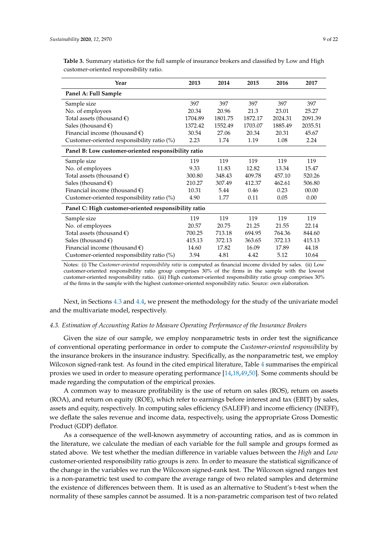| Year                                                  | 2013                                                | 2014    | 2015    | 2016    | 2017    |  |  |
|-------------------------------------------------------|-----------------------------------------------------|---------|---------|---------|---------|--|--|
| Panel A: Full Sample                                  |                                                     |         |         |         |         |  |  |
| Sample size                                           | 397                                                 | 397     | 397     | 397     | 397     |  |  |
| No. of employees                                      | 20.34                                               | 20.96   | 21.3    | 23.01   | 25.27   |  |  |
| Total assets (thousand $\epsilon$ )                   | 1704.89                                             | 1801.75 | 1872.17 | 2024.31 | 2091.39 |  |  |
| Sales (thousand $\epsilon$ )                          | 1372.42                                             | 1552.49 | 1703.07 | 1885.49 | 2035.51 |  |  |
| Financial income (thousand $\epsilon$ )               | 30.54                                               | 27.06   | 20.34   | 20.31   | 45.67   |  |  |
| Customer-oriented responsibility ratio (%)            | 2.23                                                | 1.74    | 1.19    | 1.08    | 2.24    |  |  |
|                                                       | Panel B: Low customer-oriented responsibility ratio |         |         |         |         |  |  |
| Sample size                                           | 119                                                 | 119     | 119     | 119     | 119     |  |  |
| No. of employees                                      | 9.33                                                | 11.83   | 12.82   | 13.34   | 15.47   |  |  |
| Total assets (thousand $\epsilon$ )                   | 300.80                                              | 348.43  | 409.78  | 457.10  | 520.26  |  |  |
| Sales (thousand $\epsilon$ )                          | 210.27                                              | 307.49  | 412.37  | 462.61  | 506.80  |  |  |
| Financial income (thousand $\epsilon$ )               | 10.31                                               | 5.44    | 0.46    | 0.23    | 00.00   |  |  |
| Customer-oriented responsibility ratio (%)            | 4.90                                                | 1.77    | 0.11    | 0.05    | 0.00    |  |  |
| Panel C: High customer-oriented responsibility ratio  |                                                     |         |         |         |         |  |  |
| Sample size                                           | 119                                                 | 119     | 119     | 119     | 119     |  |  |
| No. of employees                                      | 20.57                                               | 20.75   | 21.25   | 21.55   | 22.14   |  |  |
| Total assets (thousand $\epsilon$ )                   | 700.25                                              | 713.18  | 694.95  | 764.36  | 844.60  |  |  |
| Sales (thousand $\varepsilon$ )                       | 415.13                                              | 372.13  | 363.65  | 372.13  | 415.13  |  |  |
| Financial income (thousand $\epsilon$ )               | 14.60                                               | 17.82   | 16.09   | 17.89   | 44.18   |  |  |
| Customer-oriented responsibility ratio $\binom{0}{0}$ | 3.94                                                | 4.81    | 4.42    | 5.12    | 10.64   |  |  |

<span id="page-8-0"></span>**Table 3.** Summary statistics for the full sample of insurance brokers and classified by Low and High customer-oriented responsibility ratio.

Notes: (i) The *Customer-oriented responsibility ratio* is computed as financial income divided by sales. (ii) Low customer-oriented responsibility ratio group comprises 30% of the firms in the sample with the lowest customer-oriented responsibility ratio. (iii) High customer-oriented responsibility ratio group comprises 30% of the firms in the sample with the highest customer-oriented responsibility ratio. Source: own elaboration.

Next, in Sections [4.3](#page-8-1) and [4.4,](#page-9-0) we present the methodology for the study of the univariate model and the multivariate model, respectively.

#### <span id="page-8-1"></span>*4.3. Estimation of Accounting Ratios to Measure Operating Performance of the Insurance Brokers*

Given the size of our sample, we employ nonparametric tests in order test the significance of conventional operating performance in order to compute the *Customer-oriented responsibility* by the insurance brokers in the insurance industry. Specifically, as the nonparametric test, we employ Wilcoxon signed-rank test. As found in the cited empirical literature, Table [4](#page-9-1) summarises the empirical proxies we used in order to measure operating performance [\[14,](#page-18-22)[18,](#page-18-10)[49,](#page-19-15)[50\]](#page-19-16). Some comments should be made regarding the computation of the empirical proxies.

A common way to measure profitability is the use of return on sales (ROS), return on assets (ROA), and return on equity (ROE), which refer to earnings before interest and tax (EBIT) by sales, assets and equity, respectively. In computing sales efficiency (SALEFF) and income efficiency (INEFF), we deflate the sales revenue and income data, respectively, using the appropriate Gross Domestic Product (GDP) deflator.

As a consequence of the well-known asymmetry of accounting ratios, and as is common in the literature, we calculate the median of each variable for the full sample and groups formed as stated above. We test whether the median difference in variable values between the *High* and *Low* customer-oriented responsibility ratio groups is zero. In order to measure the statistical significance of the change in the variables we run the Wilcoxon signed-rank test. The Wilcoxon signed ranges test is a non-parametric test used to compare the average range of two related samples and determine the existence of differences between them. It is used as an alternative to Student's t-test when the normality of these samples cannot be assumed. It is a non-parametric comparison test of two related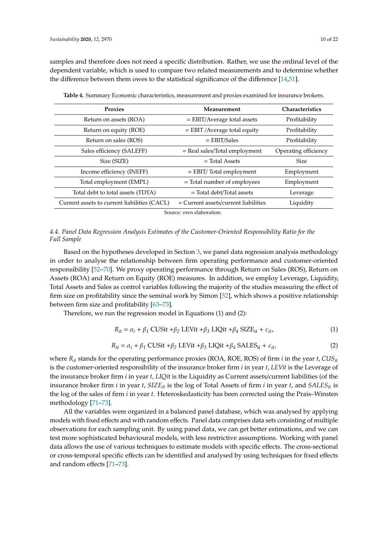samples and therefore does not need a specific distribution. Rather, we use the ordinal level of the dependent variable, which is used to compare two related measurements and to determine whether the difference between them owes to the statistical significance of the difference [\[14](#page-18-22)[,51\]](#page-19-17).

| <b>Proxies</b>                               | Measurement                            | <b>Characteristics</b> |  |  |  |  |  |
|----------------------------------------------|----------------------------------------|------------------------|--|--|--|--|--|
| Return on assets (ROA)                       | $=$ EBIT/Average total assets          | Profitability          |  |  |  |  |  |
| Return on equity (ROE)                       | $=$ EBIT /Average total equity         | Profitability          |  |  |  |  |  |
| Return on sales (ROS)                        | $=$ EBIT/Sales                         | Profitability          |  |  |  |  |  |
| Sales efficiency (SALEFF)                    | $=$ Real sales/Total employment        | Operating efficiency   |  |  |  |  |  |
| Size (SIZE)                                  | $=$ Total Assets                       | <b>Size</b>            |  |  |  |  |  |
| Income efficiency (INEFF)                    | $=$ EBIT/Total employment              | Employment             |  |  |  |  |  |
| Total employment (EMPL)                      | = Total number of employees            | Employment             |  |  |  |  |  |
| Total debt to total assets (TDTA)            | $=$ Total debt/Total assets            | Leverage               |  |  |  |  |  |
| Current assets to current liabilities (CACL) | $=$ Current assets/current liabilities | Liquidity              |  |  |  |  |  |
| Source: own elaboration.                     |                                        |                        |  |  |  |  |  |

<span id="page-9-1"></span>**Table 4.** Summary Economic characteristics, measurement and proxies examined for insurance brokers.

# <span id="page-9-0"></span>*4.4. Panel Data Regression Analysis Estimates of the Customer-Oriented Responsibility Ratio for the Full Sample*

Based on the hypotheses developed in Section [3,](#page-4-0) we panel data regression analysis methodology in order to analyse the relationship between firm operating performance and customer-oriented responsibility [\[52–](#page-19-18)[70\]](#page-20-3). We proxy operating performance through Return on Sales (ROS), Return on Assets (ROA) and Return on Equity (ROE) measures. In addition, we employ Leverage, Liquidity, Total Assets and Sales as control variables following the majority of the studies measuring the effect of firm size on profitability since the seminal work by Simon [\[52\]](#page-19-18), which shows a positive relationship between firm size and profitability [\[63](#page-20-4)[–73\]](#page-20-5).

Therefore, we run the regression model in Equations (1) and (2):

$$
R_{it} = \alpha_i + \beta_1 \text{ CUSit} + \beta_2 \text{ LEVit} + \beta_3 \text{ LIQit} + \beta_4 \text{ SIZE}_{it} + \varepsilon_{it},\tag{1}
$$

$$
R_{it} = \alpha_i + \beta_1 \text{ CUSit} + \beta_2 \text{ LEVit} + \beta_3 \text{ LIQit} + \beta_4 \text{ SALES}_{it} + \varepsilon_{it},\tag{2}
$$

where *Rit* stands for the operating performance proxies (ROA, ROE, ROS) of firm *i* in the year *t*, *CUSit* is the customer-oriented responsibility of the insurance broker firm *i* in year *t*, *LEVit* is the Leverage of the insurance broker firm *i* in year *t, LIQi*t is the Liquidity as Current assets/current liabilities (of the insurance broker firm *i* in year *t*, *SIZEit* is the log of Total Assets of firm *i* in year *t*, and *SALESit* is the log of the sales of firm *i* in year *t*. Heteroskedasticity has been corrected using the Prais–Winsten methodology [\[71](#page-20-6)[–73\]](#page-20-5).

All the variables were organized in a balanced panel database, which was analysed by applying models with fixed effects and with random effects. Panel data comprises data sets consisting of multiple observations for each sampling unit. By using panel data, we can get better estimations, and we can test more sophisticated behavioural models, with less restrictive assumptions. Working with panel data allows the use of various techniques to estimate models with specific effects. The cross-sectional or cross-temporal specific effects can be identified and analysed by using techniques for fixed effects and random effects [\[71–](#page-20-6)[73\]](#page-20-5).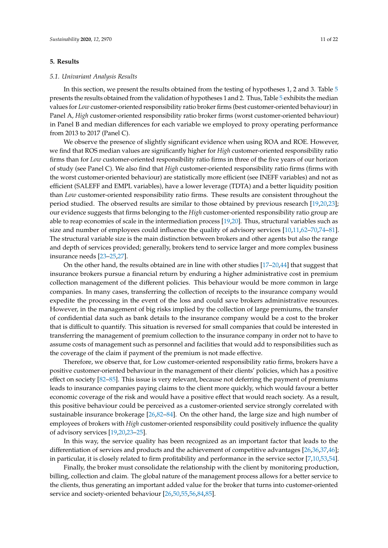## **5. Results**

#### <span id="page-10-0"></span>*5.1. Univariant Analysis Results*

In this section, we present the results obtained from the testing of hypotheses 1, 2 and 3. Table [5](#page-11-0) presents the results obtained from the validation of hypotheses 1 and 2. Thus, Table [5](#page-11-0) exhibits the median values for *Low* customer-oriented responsibility ratio broker firms (best customer-oriented behaviour) in Panel A, *High* customer-oriented responsibility ratio broker firms (worst customer-oriented behaviour) in Panel B and median differences for each variable we employed to proxy operating performance from 2013 to 2017 (Panel C).

We observe the presence of slightly significant evidence when using ROA and ROE. However, we find that ROS median values are significantly higher for *High* customer-oriented responsibility ratio firms than for *Low* customer-oriented responsibility ratio firms in three of the five years of our horizon of study (see Panel C). We also find that *High* customer-oriented responsibility ratio firms (firms with the worst customer-oriented behaviour) are statistically more efficient (see INEFF variables) and not as efficient (SALEFF and EMPL variables), have a lower leverage (TDTA) and a better liquidity position than *Low* customer-oriented responsibility ratio firms. These results are consistent throughout the period studied. The observed results are similar to those obtained by previous research [\[19,](#page-18-11)[20,](#page-18-12)[23\]](#page-18-15); our evidence suggests that firms belonging to the *High* customer-oriented responsibility ratio group are able to reap economies of scale in the intermediation process [\[19,](#page-18-11)[20\]](#page-18-12). Thus, structural variables such as size and number of employees could influence the quality of advisory services [\[10,](#page-18-23)[11](#page-18-21)[,62](#page-20-2)[–70,](#page-20-3)[74–](#page-20-7)[81\]](#page-21-0). The structural variable size is the main distinction between brokers and other agents but also the range and depth of services provided; generally, brokers tend to service larger and more complex business insurance needs [\[23](#page-18-15)[–25,](#page-18-17)[27\]](#page-18-19).

On the other hand, the results obtained are in line with other studies [\[17–](#page-18-20)[20](#page-18-12)[,44\]](#page-19-19) that suggest that insurance brokers pursue a financial return by enduring a higher administrative cost in premium collection management of the different policies. This behaviour would be more common in large companies. In many cases, transferring the collection of receipts to the insurance company would expedite the processing in the event of the loss and could save brokers administrative resources. However, in the management of big risks implied by the collection of large premiums, the transfer of confidential data such as bank details to the insurance company would be a cost to the broker that is difficult to quantify. This situation is reversed for small companies that could be interested in transferring the management of premium collection to the insurance company in order not to have to assume costs of management such as personnel and facilities that would add to responsibilities such as the coverage of the claim if payment of the premium is not made effective.

Therefore, we observe that, for Low customer-oriented responsibility ratio firms, brokers have a positive customer-oriented behaviour in the management of their clients' policies, which has a positive effect on society [\[82–](#page-21-1)[85\]](#page-21-2). This issue is very relevant, because not deferring the payment of premiums leads to insurance companies paying claims to the client more quickly, which would favour a better economic coverage of the risk and would have a positive effect that would reach society. As a result, this positive behaviour could be perceived as a customer-oriented service strongly correlated with sustainable insurance brokerage [\[26,](#page-18-18)[82–](#page-21-1)[84\]](#page-21-3). On the other hand, the large size and high number of employees of brokers with *High* customer-oriented responsibility could positively influence the quality of advisory services [\[19,](#page-18-11)[20,](#page-18-12)[23–](#page-18-15)[25\]](#page-18-17).

In this way, the service quality has been recognized as an important factor that leads to the differentiation of services and products and the achievement of competitive advantages [\[26](#page-18-18)[,36](#page-19-20)[,37,](#page-19-11)[46\]](#page-19-12); in particular, it is closely related to firm profitability and performance in the service sector [\[7](#page-18-6)[,10,](#page-18-23)[53,](#page-19-21)[54\]](#page-20-8).

Finally, the broker must consolidate the relationship with the client by monitoring production, billing, collection and claim. The global nature of the management process allows for a better service to the clients, thus generating an important added value for the broker that turns into customer-oriented service and society-oriented behaviour [\[26,](#page-18-18)[50,](#page-19-16)[55](#page-20-1)[,56](#page-20-0)[,84](#page-21-3)[,85\]](#page-21-2).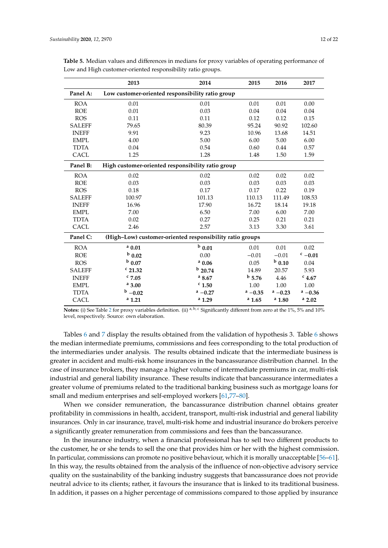|                                                               | 2014<br>2013 |                                                          | 2015       | 2016        | 2017            |  |
|---------------------------------------------------------------|--------------|----------------------------------------------------------|------------|-------------|-----------------|--|
| Panel A:                                                      |              | Low customer-oriented responsibility ratio group         |            |             |                 |  |
| <b>ROA</b>                                                    | 0.01         | 0.01                                                     | 0.01       | 0.01        | 0.00            |  |
| <b>ROE</b>                                                    | 0.01         | 0.03                                                     | 0.04       | 0.04        | 0.04            |  |
| <b>ROS</b>                                                    | 0.11         | 0.11                                                     | 0.12       | 0.12        | 0.15            |  |
| <b>SALEFF</b>                                                 | 79.65        | 80.39                                                    | 95.24      | 90.92       | 102.60          |  |
| <b>INEFF</b>                                                  | 9.91         | 9.23                                                     | 10.96      | 13.68       | 14.51           |  |
| <b>EMPL</b>                                                   | 4.00         | 5.00                                                     | 6.00       | 5.00        | 6.00            |  |
| <b>TDTA</b>                                                   | 0.04         | 0.54                                                     | 0.60       | 0.44        | 0.57            |  |
| CACL                                                          | 1.25         | 1.28                                                     | 1.48       | 1.50        | 1.59            |  |
| Panel B:<br>High customer-oriented responsibility ratio group |              |                                                          |            |             |                 |  |
| <b>ROA</b>                                                    | 0.02         | 0.02                                                     | 0.02       | 0.02        | 0.02            |  |
| <b>ROE</b>                                                    | 0.03         | 0.03                                                     | 0.03       | 0.03        | 0.03            |  |
| <b>ROS</b>                                                    | 0.18         | 0.17                                                     | 0.17       | 0.22        | 0.19            |  |
| <b>SALEFF</b>                                                 | 100.97       | 101.13                                                   | 110.13     | 111.49      | 108.53          |  |
| <b>INEFF</b>                                                  | 16.96        | 17.90                                                    | 16.72      | 18.14       | 19.18           |  |
| <b>EMPL</b>                                                   | 7.00         | 6.50                                                     | 7.00       | 6.00        | 7.00            |  |
| <b>TDTA</b>                                                   | 0.02         | 0.27                                                     | 0.25       | 0.21        | 0.21            |  |
| <b>CACL</b>                                                   | 2.46         | 2.57                                                     | 3.13       | 3.30        | 3.61            |  |
| Panel C:                                                      |              | (High-Low) customer-oriented responsibility ratio groups |            |             |                 |  |
| <b>ROA</b>                                                    | $a$ 0.01     | $^{b} 0.01$                                              | 0.01       | 0.01        | 0.02            |  |
| <b>ROE</b>                                                    | $b$ 0.02     | 0.00                                                     | $-0.01$    | $-0.01$     | $\degree$ -0.01 |  |
| <b>ROS</b>                                                    | $^{b} 0.07$  | $a_{0.06}$                                               | 0.05       | $^{b} 0.10$ | 0.04            |  |
| <b>SALEFF</b>                                                 | $c_{21.32}$  | $^{b}$ 20.74                                             | 14.89      | 20.57       | 5.93            |  |
| <b>INEFF</b>                                                  | $c$ 7.05     | $a$ 8.67                                                 | $b$ 5.76   | 4.46        | $c$ 4.67        |  |
| <b>EMPL</b>                                                   | $a_{3.00}$   | $c_{1.50}$                                               | 1.00       | 1.00        | 1.00            |  |
| <b>TDTA</b>                                                   | $^{b}$ -0.02 | $a - 0.27$                                               | $a - 0.35$ | $a - 0.23$  | $a - 0.36$      |  |
| CACL                                                          | $a_{1,21}$   | $a_{1.29}$                                               | $a_{1.65}$ | $a_{1.80}$  | $a_{2.02}$      |  |

<span id="page-11-0"></span>**Table 5.** Median values and differences in medians for proxy variables of operating performance of Low and High customer-oriented responsibility ratio groups.

Notes: (i) See Table [2](#page-7-0) for proxy variables definition. (ii) <sup>a, b, c</sup> Significantly different from zero at the 1%, 5% and 10% level, respectively. Source: own elaboration.

Tables [6](#page-12-0) and [7](#page-12-1) display the results obtained from the validation of hypothesis 3. Table [6](#page-12-0) shows the median intermediate premiums, commissions and fees corresponding to the total production of the intermediaries under analysis. The results obtained indicate that the intermediate business is greater in accident and multi-risk home insurances in the bancassurance distribution channel. In the case of insurance brokers, they manage a higher volume of intermediate premiums in car, multi-risk industrial and general liability insurance. These results indicate that bancassurance intermediates a greater volume of premiums related to the traditional banking business such as mortgage loans for small and medium enterprises and self-employed workers [\[61,](#page-20-9)[77](#page-20-10)[–80\]](#page-20-11).

When we consider remuneration, the bancassurance distribution channel obtains greater profitability in commissions in health, accident, transport, multi-risk industrial and general liability insurances. Only in car insurance, travel, multi-risk home and industrial insurance do brokers perceive a significantly greater remuneration from commissions and fees than the bancassurance.

In the insurance industry, when a financial professional has to sell two different products to the customer, he or she tends to sell the one that provides him or her with the highest commission. In particular, commissions can promote no positive behaviour, which it is morally unacceptable [\[56–](#page-20-0)[61\]](#page-20-9). In this way, the results obtained from the analysis of the influence of non-objective advisory service quality on the sustainability of the banking industry suggests that bancassurance does not provide neutral advice to its clients; rather, it favours the insurance that is linked to its traditional business. In addition, it passes on a higher percentage of commissions compared to those applied by insurance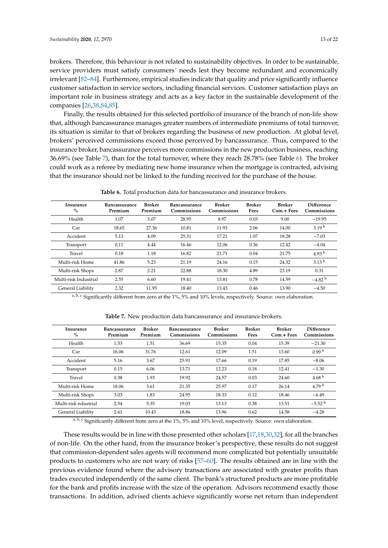brokers. Therefore, this behaviour is not related to sustainability objectives. In order to be sustainable, service providers must satisfy consumers´ needs lest they become redundant and economically irrelevant [\[82–](#page-21-1)[84\]](#page-21-3). Furthermore, empirical studies indicate that quality and price significantly influence customer satisfaction in service sectors, including financial services. Customer satisfaction plays an important role in business strategy and acts as a key factor in the sustainable development of the companies [\[26,](#page-18-18)[38,](#page-19-22)[84,](#page-21-3)[85\]](#page-21-2).

Finally, the results obtained for this selected portfolio of insurance of the branch of non-life show that, although bancassurance manages greater numbers of intermediate premiums of total turnover, its situation is similar to that of brokers regarding the business of new production. At global level, brokers' perceived commissions exceed those perceived by bancassurance. Thus, compared to the insurance broker, bancassurance perceives more commissions in the new production business, reaching 36.69% (see Table [7\)](#page-12-1), than for the total turnover, where they reach 28.78% (see Table [6\)](#page-12-0). The broker could work as a referee by mediating new home insurance when the mortgage is contracted, advising that the insurance should not be linked to the funding received for the purchase of the house.

**Table 6.** Total production data for bancassurance and insurance brokers.

<span id="page-12-0"></span>

| Insurance<br>$\%$     | <b>Bancassurance</b><br>Premium | <b>Broker</b><br>Premium | <b>Bancassurance</b><br>Commissions | <b>Broker</b><br>Commissions | <b>Broker</b><br>Fees | <b>Broker</b><br>Com.+ Fees | <b>Difference</b><br>Commissions |
|-----------------------|---------------------------------|--------------------------|-------------------------------------|------------------------------|-----------------------|-----------------------------|----------------------------------|
| Health                | 1.07                            | 3.07                     | 28.95                               | 8.97                         | 0.03                  | 9.00                        | $-19.95$                         |
| Car                   | 18.65                           | 27.36                    | 10.81                               | 11.93                        | 2.06                  | 14.00                       | 3.19 <sup>b</sup>                |
| Accident              | 5.13                            | 4.09                     | 25.31                               | 17.21                        | 1.07                  | 18.28                       | $-7.03$                          |
| Transport             | 0,11                            | 4.44                     | 16.46                               | 12.06                        | 0.36                  | 12.42                       | $-4.04$                          |
| Travel                | 0.18                            | 1.18                     | 16.82                               | 21.71                        | 0.04                  | 21.75                       | 4.93 $^{\rm b}$                  |
| Multi-risk Home       | 41.86                           | 5.23                     | 21.19                               | 24.16                        | 0.15                  | 24.32                       | 3.13 <sup>b</sup>                |
| Multi-risk Shops      | 2.87                            | 2.21                     | 22.88                               | 18.30                        | 4.89                  | 23.19                       | 0.31                             |
| Multi-risk Industrial | 2.55                            | 6.60                     | 19.41                               | 13.81                        | 0.78                  | 14.59                       | $-4.82b$                         |
| General Liability     | 2.32                            | 11.95                    | 18.40                               | 13.43                        | 0.46                  | 13.90                       | $-4.50$                          |

 $a, b, c$  Significantly different from zero at the 1%, 5% and 10% levels, respectively. Source: own elaboration.

<span id="page-12-1"></span>

| Insurance<br>$\%$    | <b>Bancassurance</b><br>Premium | <b>Broker</b><br>Premium | <b>Bancassurance</b><br>Commissions | <b>Broker</b><br>Commissions | <b>Broker</b><br>Fees | <b>Broker</b><br>Com.+ Fees | <b>Difference</b><br>Commissions |
|----------------------|---------------------------------|--------------------------|-------------------------------------|------------------------------|-----------------------|-----------------------------|----------------------------------|
| Health               | 1.53                            | 1.51                     | 36.69                               | 15.35                        | 0.04                  | 15.39                       | $-21.30$                         |
| Car                  | 16.06                           | 31.76                    | 12.61                               | 12.09                        | 1.51                  | 13.60                       | 0.99 <sup>b</sup>                |
| Accident             | 5.16                            | 3.67                     | 25.91                               | 17.66                        | 0.19                  | 17.85                       | $-8.06$                          |
| Transport            | 0.15                            | 6.06                     | 13.71                               | 12.23                        | 0.18                  | 12.41                       | $-1.30$                          |
| Travel               | 0.38                            | 1.93                     | 19.92                               | 24.57                        | 0.03                  | 24.60                       | 4.68 $^{\rm b}$                  |
| Multi-risk Home      | 18.06                           | 3.61                     | 21.35                               | 25.97                        | 0.17                  | 26.14                       | 4.79 $^{\rm b}$                  |
| Multi-risk Shops     | 3.03                            | 1.83                     | 24.95                               | 18.33                        | 0.12                  | 18.46                       | $-6.49$                          |
| Multi-risk ndustrial | 2.54                            | 5.35                     | 19.03                               | 13.13                        | 0.38                  | 13.51                       | $-5.52$ <sup>b</sup>             |
| General Liability    | 2.61                            | 10.43                    | 18.86                               | 13.96                        | 0.62                  | 14.58                       | $-4.28$                          |

**Table 7.** New production data bancassurance and insurance brokers.

 $a, b, c$  Significantly different from zero at the 1%, 5% and 10% level, respectively. Source: own elaboration.

These results would be in line with those presented other scholars [\[17,](#page-18-20)[18](#page-18-10)[,30](#page-19-3)[,32\]](#page-19-4), for all the branches of non-life. On the other hand, from the insurance broker's perspective, these results do not suggest that commission-dependent sales agents will recommend more complicated but potentially unsuitable products to customers who are not wary of risks [\[57](#page-20-12)[–60\]](#page-20-13). The results obtained are in line with the previous evidence found where the advisory transactions are associated with greater profits than trades executed independently of the same client. The bank's structured products are more profitable for the bank and profits increase with the size of the operation. Advisors recommend exactly those transactions. In addition, advised clients achieve significantly worse net return than independent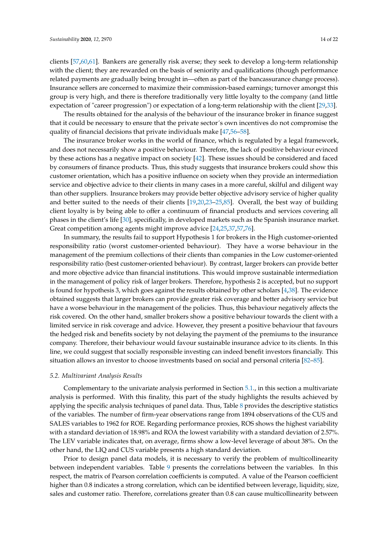clients [\[57,](#page-20-12)[60,](#page-20-13)[61\]](#page-20-9). Bankers are generally risk averse; they seek to develop a long-term relationship with the client; they are rewarded on the basis of seniority and qualifications (though performance related payments are gradually being brought in—often as part of the bancassurance change process). Insurance sellers are concerned to maximize their commission-based earnings; turnover amongst this group is very high, and there is therefore traditionally very little loyalty to the company (and little expectation of "career progression") or expectation of a long-term relationship with the client [\[29,](#page-19-1)[33\]](#page-19-5).

The results obtained for the analysis of the behaviour of the insurance broker in finance suggest that it could be necessary to ensure that the private sector´s own incentives do not compromise the quality of financial decisions that private individuals make [\[47,](#page-19-13)[56–](#page-20-0)[58\]](#page-20-14).

The insurance broker works in the world of finance, which is regulated by a legal framework, and does not necessarily show a positive behaviour. Therefore, the lack of positive behaviour evinced by these actions has a negative impact on society [\[42\]](#page-19-7). These issues should be considered and faced by consumers of finance products. Thus, this study suggests that insurance brokers could show this customer orientation, which has a positive influence on society when they provide an intermediation service and objective advice to their clients in many cases in a more careful, skilful and diligent way than other suppliers. Insurance brokers may provide better objective advisory service of higher quality and better suited to the needs of their clients [\[19](#page-18-11)[,20](#page-18-12)[,23–](#page-18-15)[25](#page-18-17)[,85\]](#page-21-2). Overall, the best way of building client loyalty is by being able to offer a continuum of financial products and services covering all phases in the client's life [\[30\]](#page-19-3), specifically, in developed markets such as the Spanish insurance market. Great competition among agents might improve advice [\[24,](#page-18-16)[25](#page-18-17)[,37](#page-19-11)[,57](#page-20-12)[,76\]](#page-20-15).

In summary, the results fail to support Hypothesis 1 for brokers in the High customer-oriented responsibility ratio (worst customer-oriented behaviour). They have a worse behaviour in the management of the premium collections of their clients than companies in the Low customer-oriented responsibility ratio (best customer-oriented behaviour). By contrast, larger brokers can provide better and more objective advice than financial institutions. This would improve sustainable intermediation in the management of policy risk of larger brokers. Therefore, hypothesis 2 is accepted, but no support is found for hypothesis 3, which goes against the results obtained by other scholars [\[4](#page-18-3)[,38\]](#page-19-22). The evidence obtained suggests that larger brokers can provide greater risk coverage and better advisory service but have a worse behaviour in the management of the policies. Thus, this behaviour negatively affects the risk covered. On the other hand, smaller brokers show a positive behaviour towards the client with a limited service in risk coverage and advice. However, they present a positive behaviour that favours the hedged risk and benefits society by not delaying the payment of the premiums to the insurance company. Therefore, their behaviour would favour sustainable insurance advice to its clients. In this line, we could suggest that socially responsible investing can indeed benefit investors financially. This situation allows an investor to choose investments based on social and personal criteria [\[82](#page-21-1)[–85\]](#page-21-2).

#### *5.2. Multivariant Analysis Results*

Complementary to the univariate analysis performed in Section [5.1.](#page-10-0), in this section a multivariate analysis is performed. With this finality, this part of the study highlights the results achieved by applying the specific analysis techniques of panel data. Thus, Table  $8$  provides the descriptive statistics of the variables. The number of firm-year observations range from 1894 observations of the CUS and SALES variables to 1962 for ROE. Regarding performance proxies, ROS shows the highest variability with a standard deviation of 18.98% and ROA the lowest variability with a standard deviation of 2.57%. The LEV variable indicates that, on average, firms show a low-level leverage of about 38%. On the other hand, the LIQ and CUS variable presents a high standard deviation.

Prior to design panel data models, it is necessary to verify the problem of multicollinearity between independent variables. Table [9](#page-14-1) presents the correlations between the variables. In this respect, the matrix of Pearson correlation coefficients is computed. A value of the Pearson coefficient higher than 0.8 indicates a strong correlation, which can be identified between leverage, liquidity, size, sales and customer ratio. Therefore, correlations greater than 0.8 can cause multicollinearity between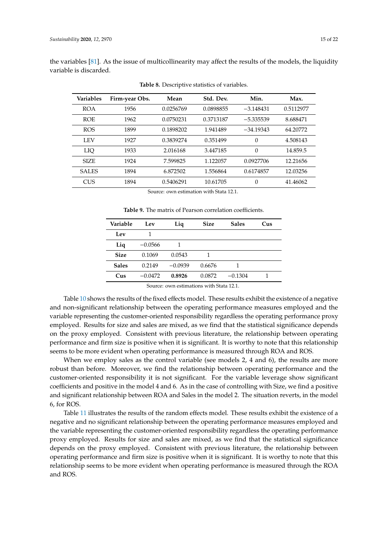<span id="page-14-0"></span>the variables [\[81\]](#page-21-0). As the issue of multicollinearity may affect the results of the models, the liquidity variable is discarded.

| Variables    | Firm-year Obs. | Mean      | Std. Dev. | Min.           | Max.      |
|--------------|----------------|-----------|-----------|----------------|-----------|
| <b>ROA</b>   | 1956           | 0.0256769 | 0.0898855 | $-3.148431$    | 0.5112977 |
| <b>ROE</b>   | 1962           | 0.0750231 | 0.3713187 | $-5.335539$    | 8.688471  |
| <b>ROS</b>   | 1899           | 0.1898202 | 1.941489  | $-34.19343$    | 64.20772  |
| <b>LEV</b>   | 1927           | 0.3839274 | 0.351499  | $\theta$       | 4.508143  |
| LIO          | 1933           | 2.016168  | 3.447185  | $\overline{0}$ | 14.859.5  |
| SIZE         | 1924           | 7.599825  | 1.122057  | 0.0927706      | 12.21656  |
| <b>SALES</b> | 1894           | 6.872502  | 1.556864  | 0.6174857      | 12.03256  |
| <b>CUS</b>   | 1894           | 0.5406291 | 10.61705  | $\theta$       | 41.46062  |
|              |                |           |           |                |           |

**Table 8.** Descriptive statistics of variables.

Source: own estimation with Stata 12.1.

**Table 9.** The matrix of Pearson correlation coefficients.

<span id="page-14-1"></span>

| Variable     | Lev       | Liq       | <b>Size</b> | <b>Sales</b> | Cus |
|--------------|-----------|-----------|-------------|--------------|-----|
| Lev          |           |           |             |              |     |
| Liq          | $-0.0566$ |           |             |              |     |
| <b>Size</b>  | 0.1069    | 0.0543    |             |              |     |
| <b>Sales</b> | 0.2149    | $-0.0939$ | 0.6676      |              |     |
| Cus          | $-0.0472$ | 0.8926    | 0.0872      | $-0.1304$    |     |

Source: own estimations with Stata 12.1.

Table [10](#page-15-0) shows the results of the fixed effects model. These results exhibit the existence of a negative and non-significant relationship between the operating performance measures employed and the variable representing the customer-oriented responsibility regardless the operating performance proxy employed. Results for size and sales are mixed, as we find that the statistical significance depends on the proxy employed. Consistent with previous literature, the relationship between operating performance and firm size is positive when it is significant. It is worthy to note that this relationship seems to be more evident when operating performance is measured through ROA and ROS.

When we employ sales as the control variable (see models 2, 4 and 6), the results are more robust than before. Moreover, we find the relationship between operating performance and the customer-oriented responsibility it is not significant. For the variable leverage show significant coefficients and positive in the model 4 and 6. As in the case of controlling with Size, we find a positive and significant relationship between ROA and Sales in the model 2. The situation reverts, in the model 6, for ROS.

Table [11](#page-15-1) illustrates the results of the random effects model. These results exhibit the existence of a negative and no significant relationship between the operating performance measures employed and the variable representing the customer-oriented responsibility regardless the operating performance proxy employed. Results for size and sales are mixed, as we find that the statistical significance depends on the proxy employed. Consistent with previous literature, the relationship between operating performance and firm size is positive when it is significant. It is worthy to note that this relationship seems to be more evident when operating performance is measured through the ROA and ROS.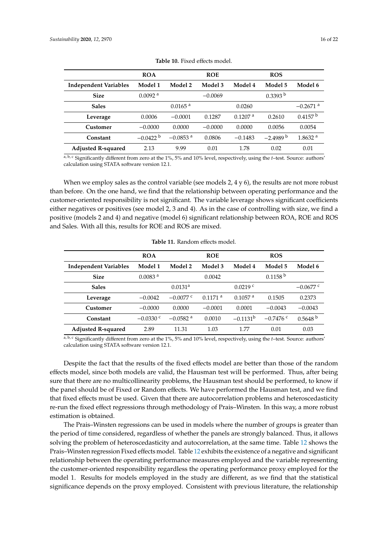| 16 of |  |
|-------|--|
|       |  |

<span id="page-15-0"></span>

|                              | <b>ROA</b>            |                        | <b>ROE</b> |                     | <b>ROS</b>          |                        |
|------------------------------|-----------------------|------------------------|------------|---------------------|---------------------|------------------------|
| <b>Independent Variables</b> | Model 1               | Model 2                | Model 3    | Model 4             | Model 5             | Model 6                |
| <b>Size</b>                  | $0.0092$ <sup>a</sup> |                        | $-0.0069$  |                     | 0.3393 <sup>b</sup> |                        |
| <b>Sales</b>                 |                       | $0.0165$ <sup>a</sup>  |            | 0.0260              |                     | $-0.2671$ <sup>a</sup> |
| Leverage                     | 0.0006                | $-0.0001$              | 0.1287     | 0.1207 <sup>a</sup> | 0.2610              | 0.4157 <sup>b</sup>    |
| Customer                     | $-0.0000$             | 0.0000                 | $-0.0000$  | 0.0000              | 0.0056              | 0.0054                 |
| Constant                     | $-0.0422$ b           | $-0.0853$ <sup>a</sup> | 0.0806     | $-0.1483$           | $-2.4989 b$         | $1.8632$ <sup>a</sup>  |
| <b>Adjusted R-squared</b>    | 2.13                  | 9.99                   | 0.01       | 1.78                | 0.02                | 0.01                   |

| <b>Table 10.</b> Fixed effects model. |  |
|---------------------------------------|--|
|---------------------------------------|--|

a, b, c Significantly different from zero at the 1%, 5% and 10% level, respectively, using the *t*–test. Source: authors' calculation using STATA software version 12.1.

When we employ sales as the control variable (see models 2, 4 y 6), the results are not more robust than before. On the one hand, we find that the relationship between operating performance and the customer-oriented responsibility is not significant. The variable leverage shows significant coefficients either negatives or positives (see model 2, 3 and 4). As in the case of controlling with size, we find a positive (models 2 and 4) and negative (model 6) significant relationship between ROA, ROE and ROS and Sales. With all this, results for ROE and ROS are mixed.

<span id="page-15-1"></span>

|                              | <b>ROA</b>            |                        | <b>ROE</b>            |                       | <b>ROS</b>          |                     |
|------------------------------|-----------------------|------------------------|-----------------------|-----------------------|---------------------|---------------------|
| <b>Independent Variables</b> | Model 1               | Model 2                | Model 3               | Model 4               | Model 5             | Model 6             |
| <b>Size</b>                  | $0.0083$ <sup>a</sup> |                        | 0.0042                |                       | 0.1158 <sup>b</sup> |                     |
| <b>Sales</b>                 |                       | 0.0131 <sup>a</sup>    |                       | 0.0219c               |                     | $-0.0677$ c         |
| Leverage                     | $-0.0042$             | $-0.0077$ c            | $0.1171$ <sup>a</sup> | $0.1057$ <sup>a</sup> | 0.1505              | 0.2373              |
| Customer                     | $-0.0000$             | 0.0000                 | $-0.0001$             | 0.0001                | $-0.0043$           | $-0.0043$           |
| Constant                     | $-0.0330$ c           | $-0.0582$ <sup>a</sup> | 0.0010                | $-0.1131^{b}$         | $-0.7476$ c         | 0.5648 <sup>b</sup> |
| <b>Adjusted R-squared</b>    | 2.89                  | 11.31                  | 1.03                  | 1.77                  | 0.01                | 0.03                |

**Table 11.** Random effects model.

a, b, c Significantly different from zero at the 1%, 5% and 10% level, respectively, using the *t*–test. Source: authors' calculation using STATA software version 12.1.

Despite the fact that the results of the fixed effects model are better than those of the random effects model, since both models are valid, the Hausman test will be performed. Thus, after being sure that there are no multicollinearity problems, the Hausman test should be performed, to know if the panel should be of Fixed or Random effects. We have performed the Hausman test, and we find that fixed effects must be used. Given that there are autocorrelation problems and heteroscedasticity re-run the fixed effect regressions through methodology of Prais–Winsten. In this way, a more robust estimation is obtained.

The Prais–Winsten regressions can be used in models where the number of groups is greater than the period of time considered, regardless of whether the panels are strongly balanced. Thus, it allows solving the problem of heteroscedasticity and autocorrelation, at the same time. Table [12](#page-16-0) shows the Prais–Winsten regression Fixed effects model. Table [12](#page-16-0) exhibits the existence of a negative and significant relationship between the operating performance measures employed and the variable representing the customer-oriented responsibility regardless the operating performance proxy employed for the model 1. Results for models employed in the study are different, as we find that the statistical significance depends on the proxy employed. Consistent with previous literature, the relationship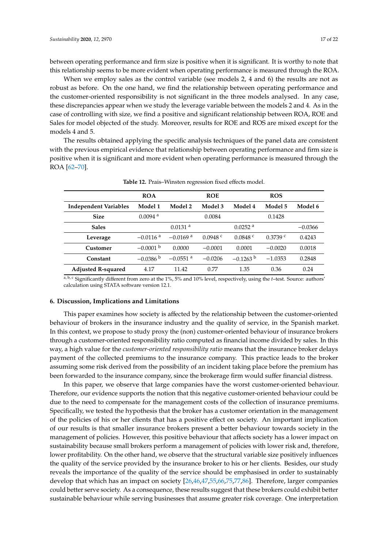between operating performance and firm size is positive when it is significant. It is worthy to note that this relationship seems to be more evident when operating performance is measured through the ROA.

When we employ sales as the control variable (see models 2, 4 and 6) the results are not as robust as before. On the one hand, we find the relationship between operating performance and the customer-oriented responsibility is not significant in the three models analysed. In any case, these discrepancies appear when we study the leverage variable between the models 2 and 4. As in the case of controlling with size, we find a positive and significant relationship between ROA, ROE and Sales for model objected of the study. Moreover, results for ROE and ROS are mixed except for the models 4 and 5.

The results obtained applying the specific analysis techniques of the panel data are consistent with the previous empirical evidence that relationship between operating performance and firm size is positive when it is significant and more evident when operating performance is measured through the ROA [\[62–](#page-20-2)[70\]](#page-20-3).

<span id="page-16-0"></span>

|                              |                        | $\cdot$                |            |                        |            |           |
|------------------------------|------------------------|------------------------|------------|------------------------|------------|-----------|
|                              | <b>ROA</b>             |                        | <b>ROE</b> |                        | <b>ROS</b> |           |
| <b>Independent Variables</b> | Model 1                | Model 2                | Model 3    | Model 4                | Model 5    | Model 6   |
| <b>Size</b>                  | $0.0094$ <sup>a</sup>  |                        | 0.0084     |                        | 0.1428     |           |
| <b>Sales</b>                 |                        | $0.0131$ <sup>a</sup>  |            | $0.0252$ <sup>a</sup>  |            | $-0.0366$ |
| Leverage                     | $-0.0116$ <sup>a</sup> | $-0.0169$ <sup>a</sup> | $0.0948$ c | $0.0848$ c             | $0.3739$ c | 0.4243    |
| Customer                     | $-0.0001$ b            | 0.0000                 | $-0.0001$  | 0.0001                 | $-0.0020$  | 0.0018    |
| Constant                     | $-0.0386$ <sup>b</sup> | $-0.0551$ <sup>a</sup> | $-0.0206$  | $-0.1263$ <sup>b</sup> | $-1.0353$  | 0.2848    |
| <b>Adjusted R-squared</b>    | 4.17                   | 11.42                  | 0.77       | 1.35                   | 0.36       | 0.24      |

**Table 12.** Prais–Winsten regression fixed effects model.

a, b, c Significantly different from zero at the 1%, 5% and 10% level, respectively, using the *t*–test. Source: authors' calculation using STATA software version 12.1.

## **6. Discussion, Implications and Limitations**

This paper examines how society is affected by the relationship between the customer-oriented behaviour of brokers in the insurance industry and the quality of service, in the Spanish market. In this context, we propose to study proxy the (non) customer-oriented behaviour of insurance brokers through a customer-oriented responsibility ratio computed as financial income divided by sales. In this way, a high value for the *customer-oriented responsibility ratio* means that the insurance broker delays payment of the collected premiums to the insurance company. This practice leads to the broker assuming some risk derived from the possibility of an incident taking place before the premium has been forwarded to the insurance company, since the brokerage firm would suffer financial distress.

In this paper, we observe that large companies have the worst customer-oriented behaviour. Therefore, our evidence supports the notion that this negative customer-oriented behaviour could be due to the need to compensate for the management costs of the collection of insurance premiums. Specifically, we tested the hypothesis that the broker has a customer orientation in the management of the policies of his or her clients that has a positive effect on society. An important implication of our results is that smaller insurance brokers present a better behaviour towards society in the management of policies. However, this positive behaviour that affects society has a lower impact on sustainability because small brokers perform a management of policies with lower risk and, therefore, lower profitability. On the other hand, we observe that the structural variable size positively influences the quality of the service provided by the insurance broker to his or her clients. Besides, our study reveals the importance of the quality of the service should be emphasised in order to sustainably develop that which has an impact on society [\[26](#page-18-18)[,46](#page-19-12)[,47](#page-19-13)[,55](#page-20-1)[,66](#page-20-16)[,75](#page-20-17)[,77](#page-20-10)[,86\]](#page-21-4). Therefore, larger companies could better serve society. As a consequence, these results suggest that these brokers could exhibit better sustainable behaviour while serving businesses that assume greater risk coverage. One interpretation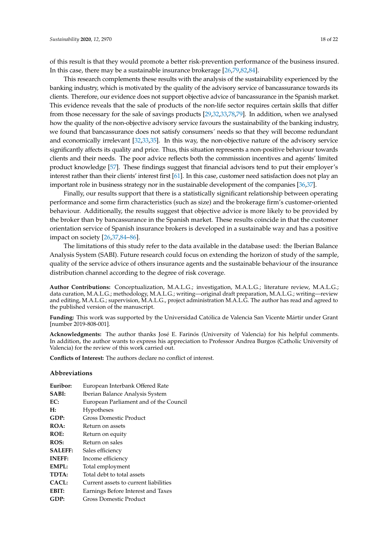of this result is that they would promote a better risk-prevention performance of the business insured. In this case, there may be a sustainable insurance brokerage [\[26](#page-18-18)[,79](#page-20-18)[,82](#page-21-1)[,84\]](#page-21-3).

This research complements these results with the analysis of the sustainability experienced by the banking industry, which is motivated by the quality of the advisory service of bancassurance towards its clients. Therefore, our evidence does not support objective advice of bancassurance in the Spanish market. This evidence reveals that the sale of products of the non-life sector requires certain skills that differ from those necessary for the sale of savings products [\[29,](#page-19-1)[32,](#page-19-4)[33,](#page-19-5)[78](#page-20-19)[,79\]](#page-20-18). In addition, when we analysed how the quality of the non-objective advisory service favours the sustainability of the banking industry, we found that bancassurance does not satisfy consumers´ needs so that they will become redundant and economically irrelevant [\[32](#page-19-4)[,33](#page-19-5)[,35\]](#page-19-10). In this way, the non-objective nature of the advisory service significantly affects its quality and price. Thus, this situation represents a non-positive behaviour towards clients and their needs. The poor advice reflects both the commission incentives and agents' limited product knowledge [\[57\]](#page-20-12). These findings suggest that financial advisors tend to put their employer's interest rather than their clients' interest first [\[61\]](#page-20-9). In this case, customer need satisfaction does not play an important role in business strategy nor in the sustainable development of the companies [\[36](#page-19-20)[,37\]](#page-19-11).

Finally, our results support that there is a statistically significant relationship between operating performance and some firm characteristics (such as size) and the brokerage firm's customer-oriented behaviour. Additionally, the results suggest that objective advice is more likely to be provided by the broker than by bancassurance in the Spanish market. These results coincide in that the customer orientation service of Spanish insurance brokers is developed in a sustainable way and has a positive impact on society [\[26](#page-18-18)[,37](#page-19-11)[,84](#page-21-3)[–86\]](#page-21-4).

The limitations of this study refer to the data available in the database used: the Iberian Balance Analysis System (SABI). Future research could focus on extending the horizon of study of the sample, quality of the service advice of others insurance agents and the sustainable behaviour of the insurance distribution channel according to the degree of risk coverage.

**Author Contributions:** Conceptualization, M.A.L.G.; investigation, M.A.L.G.; literature review, M.A.L.G.; data curation, M.A.L.G.; methodology, M.A.L.G.; writing—original draft preparation, M.A.L.G.; writing—review and editing, M.A.L.G.; supervision, M.A.L.G., project administration M.A.L.G. The author has read and agreed to the published version of the manuscript.

**Funding:** This work was supported by the Universidad Católica de Valencia San Vicente Mártir under Grant [number 2019-808-001].

**Acknowledgments:** The author thanks José E. Farinós (University of Valencia) for his helpful comments. In addition, the author wants to express his appreciation to Professor Andrea Burgos (Catholic University of Valencia) for the review of this work carried out.

**Conflicts of Interest:** The authors declare no conflict of interest.

## **Abbreviations**

| Euribor:       | European Interbank Offered Rate        |
|----------------|----------------------------------------|
| <b>SABI:</b>   | Iberian Balance Analysis System        |
| EC:            | European Parliament and of the Council |
| H:             | <b>Hypotheses</b>                      |
| GDP:           | Gross Domestic Product                 |
| ROA:           | Return on assets                       |
| ROE:           | Return on equity                       |
| ROS:           | Return on sales                        |
| <b>SALEFF:</b> | Sales efficiency                       |
| <b>INEFF:</b>  | Income efficiency                      |
| EMPL:          | Total employment                       |
| <b>TDTA:</b>   | Total debt to total assets             |
| CACL:          | Current assets to current liabilities  |
| EBIT:          | Earnings Before Interest and Taxes     |
| GDP:           | Gross Domestic Product                 |
|                |                                        |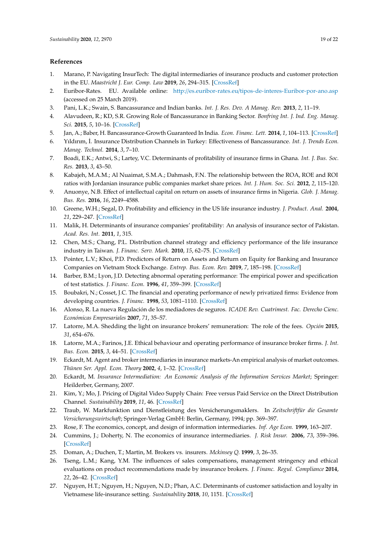# **References**

- <span id="page-18-0"></span>1. Marano, P. Navigating InsurTech: The digital intermediaries of insurance products and customer protection in the EU. *Maastricht J. Eur. Comp. Law* **2019**, *26*, 294–315. [\[CrossRef\]](http://dx.doi.org/10.1177/1023263X19830345)
- <span id="page-18-1"></span>2. Euribor-Rates. EU. Available online: http://es.euribor-rates.eu/[tipos-de-interes-Euribor-por-ano.asp](http://es.euribor-rates.eu/tipos-de-interes-Euribor-por-ano.asp) (accessed on 25 March 2019).
- <span id="page-18-2"></span>3. Pani, L.K.; Swain, S. Bancassurance and Indian banks. *Int. J. Res. Dev. A Manag. Rev.* **2013**, *2*, 11–19.
- <span id="page-18-3"></span>4. Alavudeen, R.; KD, S.R. Growing Role of Bancassurance in Banking Sector. *Bonfring Int. J. Ind. Eng. Manag. Sci.* **2015**, *5*, 10–16. [\[CrossRef\]](http://dx.doi.org/10.9756/BIJIEMS.8016)
- <span id="page-18-4"></span>5. Jan, A.; Baber, H. Bancassurance-Growth Guaranteed In India. *Econ. Financ. Lett.* **2014**, *1*, 104–113. [\[CrossRef\]](http://dx.doi.org/10.18488/journal.29/2014.1.4/29.4.104.113)
- <span id="page-18-5"></span>6. Yıldırım, ˙I. Insurance Distribution Channels in Turkey: Effectiveness of Bancassurance. *Int. J. Trends Econ. Manag. Technol.* **2014**, *3*, 7–10.
- <span id="page-18-6"></span>7. Boadi, E.K.; Antwi, S.; Lartey, V.C. Determinants of profitability of insurance firms in Ghana. *Int. J. Bus. Soc. Res.* **2013**, *3*, 43–50.
- <span id="page-18-7"></span>8. Kabajeh, M.A.M.; Al Nuaimat, S.M.A.; Dahmash, F.N. The relationship between the ROA, ROE and ROI ratios with Jordanian insurance public companies market share prices. *Int. J. Hum. Soc. Sci.* **2012**, *2*, 115–120.
- 9. Anuonye, N.B. Effect of intellectual capital on return on assets of insurance firms in Nigeria. *Glob. J. Manag. Bus. Res.* **2016**, *16*, 2249–4588.
- <span id="page-18-23"></span>10. Greene, W.H.; Segal, D. Profitability and efficiency in the US life insurance industry. *J. Product. Anal.* **2004**, *21*, 229–247. [\[CrossRef\]](http://dx.doi.org/10.1023/B:PROD.0000022092.70204.fa)
- <span id="page-18-21"></span>11. Malik, H. Determinants of insurance companies' profitability: An analysis of insurance sector of Pakistan. *Acad. Res. Int.* **2011**, *1*, 315.
- 12. Chen, M.S.; Chang, P.L. Distribution channel strategy and efficiency performance of the life insurance industry in Taiwan. *J. Financ. Serv. Mark.* **2010**, *15*, 62–75. [\[CrossRef\]](http://dx.doi.org/10.1057/fsm.2010.6)
- 13. Pointer, L.V.; Khoi, P.D. Predictors of Return on Assets and Return on Equity for Banking and Insurance Companies on Vietnam Stock Exchange. *Entrep. Bus. Econ. Rev.* **2019**, *7*, 185–198. [\[CrossRef\]](http://dx.doi.org/10.15678/EBER.2019.070411)
- <span id="page-18-22"></span>14. Barber, B.M.; Lyon, J.D. Detecting abnormal operating performance: The empirical power and specification of test statistics. *J. Financ. Econ.* **1996**, *41*, 359–399. [\[CrossRef\]](http://dx.doi.org/10.1016/0304-405X(96)84701-5)
- <span id="page-18-8"></span>15. Boubakri, N.; Cosset, J.C. The financial and operating performance of newly privatized firms: Evidence from developing countries. *J. Financ.* **1998**, *53*, 1081–1110. [\[CrossRef\]](http://dx.doi.org/10.1111/0022-1082.00044)
- <span id="page-18-9"></span>16. Alonso, R. La nueva Regulación de los mediadores de seguros. *ICADE Rev. Cuatrimest. Fac. Derecho Cienc. Económicas Empresariales* **2007**, *71*, 35–57.
- <span id="page-18-20"></span>17. Latorre, M.A. Shedding the light on insurance brokers' remuneration: The role of the fees. *Opción* **2015**, *31*, 654–676.
- <span id="page-18-10"></span>18. Latorre, M.A.; Farinos, J.E. Ethical behaviour and operating performance of insurance broker firms. *J. Int. Bus. Econ.* **2015**, *3*, 44–51. [\[CrossRef\]](http://dx.doi.org/10.15640/jibe.v3n1a6)
- <span id="page-18-11"></span>19. Eckardt, M. Agent and broker intermediaries in insurance markets-An empirical analysis of market outcomes. *Thünen Ser. Appl. Econ. Theory* **2002**, *4*, 1–32. [\[CrossRef\]](http://dx.doi.org/10.2139/ssrn.655143)
- <span id="page-18-12"></span>20. Eckardt, M. *Insurance Intermediation: An Economic Analysis of the Information Services Market*; Springer: Heilderber, Germany, 2007.
- <span id="page-18-13"></span>21. Kim, Y.; Mo, J. Pricing of Digital Video Supply Chain: Free versus Paid Service on the Direct Distribution Channel. *Sustainability* **2019**, *11*, 46. [\[CrossRef\]](http://dx.doi.org/10.3390/su11010046)
- <span id="page-18-14"></span>22. Traub, W. Markfunktion und Dienstleistung des Versicherungsmaklers. In *Zeitschriftfür die Gesamte Versicherungswirtschaft*; Springer-Verlag GmbH: Berlin, Germany, 1994; pp. 369–397.
- <span id="page-18-15"></span>23. Rose, F. The economics, concept, and design of information intermediaries. *Inf. Age Econ.* **1999**, 163–207.
- <span id="page-18-16"></span>24. Cummins, J.; Doherty, N. The economics of insurance intermediaries. *J. Risk Insur.* **2006**, *73*, 359–396. [\[CrossRef\]](http://dx.doi.org/10.1111/j.1539-6975.2006.00180.x)
- <span id="page-18-17"></span>25. Doman, A.; Duchen, T.; Martin, M. Brokers vs. insurers. *Mckinsey Q.* **1999**, *3*, 26–35.
- <span id="page-18-18"></span>26. Tseng, L.M.; Kang, Y.M. The influences of sales compensations, management stringency and ethical evaluations on product recommendations made by insurance brokers. *J. Financ. Regul. Compliance* **2014**, *22*, 26–42. [\[CrossRef\]](http://dx.doi.org/10.1108/JFRC-08-2012-0031)
- <span id="page-18-19"></span>27. Nguyen, H.T.; Nguyen, H.; Nguyen, N.D.; Phan, A.C. Determinants of customer satisfaction and loyalty in Vietnamese life-insurance setting. *Sustainability* **2018**, *10*, 1151. [\[CrossRef\]](http://dx.doi.org/10.3390/su10041151)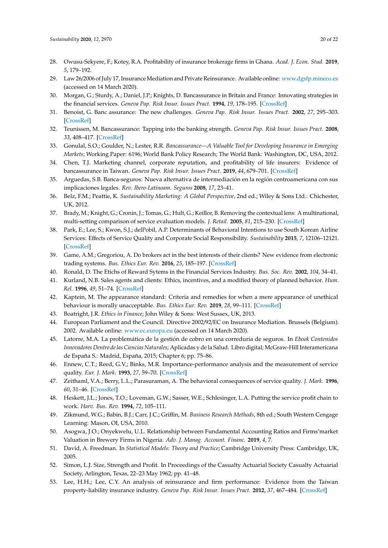- <span id="page-19-0"></span>28. Owusu-Sekyere, F.; Kotey, R.A. Profitability of insurance brokerage firms in Ghana. *Acad. J. Econ. Stud.* **2019**, *5*, 179–192.
- <span id="page-19-1"></span>29. Law 26/2006 of July 17, Insurance Mediation and Private Reinsurance. Available online: <www.dgsfp.mineco.es> (accessed on 14 March 2020).
- <span id="page-19-3"></span>30. Morgan, G.; Sturdy, A.; Daniel, J.P.; Knights, D. Bancassurance in Britain and France: Innovating strategies in the financial services. *Geneva Pap. Risk Insur. Issues Pract.* **1994**, *19*, 178–195. [\[CrossRef\]](http://dx.doi.org/10.1057/gpp.1994.14)
- <span id="page-19-2"></span>31. Benoist, G. Banc assurance: The new challenges. *Geneva Pap. Risk Insur. Issues Pract.* **2002**, *27*, 295–303. [\[CrossRef\]](http://dx.doi.org/10.1111/1468-0440.00172)
- <span id="page-19-4"></span>32. Teunissen, M. Bancassurance: Tapping into the banking strength. *Geneva Pap. Risk Insur. Issues Pract.* **2008**, *33*, 408–417. [\[CrossRef\]](http://dx.doi.org/10.1057/gpp.2008.22)
- <span id="page-19-5"></span>33. Gonulal, S.O.; Goulder, N.; Lester, R.R. *Bancassurance—A Valuable Tool for Developing Insurance in Emerging Markets*; Working Paper: 6196; World Bank Policy Research; The World Bank: Washington, DC, USA, 2012.
- <span id="page-19-6"></span>34. Chen, T.J. Marketing channel, corporate reputation, and profitability of life insurers: Evidence of bancassurance in Taiwan. *Geneva Pap. Risk Insur. Issues Pract.* **2019**, *44*, 679–701. [\[CrossRef\]](http://dx.doi.org/10.1057/s41288-019-00137-7)
- <span id="page-19-10"></span>35. Arguedas, S.B. Banca-seguros: Nueva alternativa de intermediación en la región centroamericana con sus implicaciones legales. *Rev. Ibero-Latinoam. Seguros* **2008**, *17*, 23–41.
- <span id="page-19-20"></span>36. Belz, F.M.; Peattie, K. *Sustainability Marketing: A Global Perspective*, 2nd ed.; Wiley & Sons Ltd.: Chichester, UK, 2012.
- <span id="page-19-11"></span>37. Brady, M.; Knight, G.; Cronin, J.; Tomas, G.; Hult, G.; Keillor, B. Removing the contextual lens: A multinational, multi-setting comparison of service evaluation models. *J. Retail.* **2005**, *81*, 215–230. [\[CrossRef\]](http://dx.doi.org/10.1016/j.jretai.2005.07.005)
- <span id="page-19-22"></span>38. Park, E.; Lee, S.; Kwon, S.J.; delPobil, A.P. Determinants of Behavioral Intentions to use South Korean Airline Services: Effects of Service Quality and Corporate Social Responsibility. *Sustainability* **2015**, *7*, 12106–12121. [\[CrossRef\]](http://dx.doi.org/10.3390/su70912106)
- 39. Game, A.M.; Gregoriou, A. Do brokers act in the best interests of their clients? New evidence from electronic trading systems. *Bus. Ethics Eur. Rev.* **2016**, *25*, 185–197. [\[CrossRef\]](http://dx.doi.org/10.1111/beer.12066)
- 40. Ronald, D. The Etichs of Reward Sytems in the Financial Services Industry. *Bus. Soc. Rev.* **2002**, *104*, 34–41.
- 41. Kurland, N.B. Sales agents and clients: Ethics, incentives, and a modified theory of planned behavior. *Hum. Rel.* **1996**, *49*, 51–74. [\[CrossRef\]](http://dx.doi.org/10.1177/001872679604900103)
- <span id="page-19-7"></span>42. Kaptein, M. The appearance standard: Criteria and remedies for when a mere appearance of unethical behaviour is morally unacceptable. *Bus. Ethics Eur. Rev.* **2019**, *28*, 99–111. [\[CrossRef\]](http://dx.doi.org/10.1111/beer.12195)
- <span id="page-19-8"></span>43. Boatright, J.R. *Ethics in Finance*; John Wiley & Sons: West Sussex, UK, 2013.
- <span id="page-19-19"></span>44. European Parliament and the Council. Directive 2002/92/EC on Insurance Mediation. Brussels (Belgium). 2002. Available online: <www.ec.europa.eu> (accessed on 14 March 2020).
- <span id="page-19-9"></span>45. Latorre, M.A. La problemática de la gestión de cobro en una correduría de seguros. In *Ebook Contenidos Innovadores Dentro de las Ciencias Naturales*; Aplicadas y de la Salud. Libro digital; McGraw-Hill Interamericana de España S.: Madrid, España, 2015; Chapter 6; pp. 75–86.
- <span id="page-19-12"></span>46. Ennew, C.T.; Reed, G.V.; Binks, M.R. Importance-performance analysis and the measurement of service quality. *Eur. J. Mark.* **1993**, *27*, 59–70. [\[CrossRef\]](http://dx.doi.org/10.1108/03090569310026402)
- <span id="page-19-13"></span>47. Zeithaml, V.A.; Berry, L.L.; Parasuraman, A. The behavioral consequences of service quality. *J. Mark.* **1996**, *60*, 31–46. [\[CrossRef\]](http://dx.doi.org/10.2307/1251929)
- <span id="page-19-14"></span>48. Heskett, J.L.; Jones, T.O.; Loveman, G.W.; Sasser, W.E.; Schlesinger, L.A. Putting the service profit chain to work. *Harv. Bus. Rev.* **1994**, *72*, 105–111.
- <span id="page-19-15"></span>49. Zikmund, W.G.; Babin, B.J.; Carr, J.C.; Griffin, M. *Business Research Methods*, 8th ed.; South Western Cengage Learning: Mason, OI, USA, 2010.
- <span id="page-19-16"></span>50. Asogwa, J.O.; Onyekwelu, U.L. Relationship between Fundamental Accounting Ratios and Firms'market Valuation in Brewery Firms in Nigeria. *Adv. J. Manag. Account. Financ.* **2019**, *4*, 7.
- <span id="page-19-17"></span>51. David, A. Freedman. In *Statistical Models: Theory and Practice*; Cambridge University Press: Cambridge, UK, 2005.
- <span id="page-19-18"></span>52. Simon, L.J. Size, Strength and Profit. In Proceedings of the Casualty Actuarial Society Casualty Actuarial Society, Arlington, Texas, 22–23 May 1962; pp. 41–48.
- <span id="page-19-21"></span>53. Lee, H.H.; Lee, C.Y. An analysis of reinsurance and firm performance: Evidence from the Taiwan property-liability insurance industry. *Geneva Pap. Risk Insur. Issues Pract.* **2012**, *37*, 467–484. [\[CrossRef\]](http://dx.doi.org/10.1057/gpp.2012.9)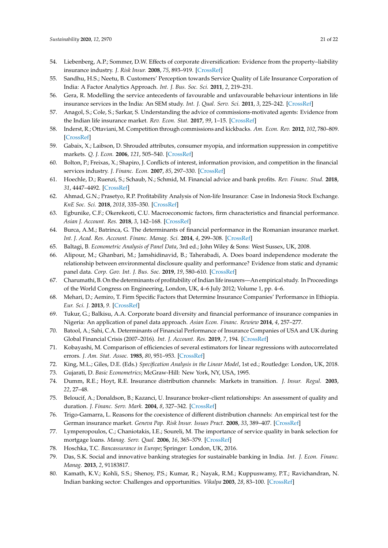- <span id="page-20-8"></span>54. Liebenberg, A.P.; Sommer, D.W. Effects of corporate diversification: Evidence from the property–liability insurance industry. *J. Risk Insur.* **2008**, *75*, 893–919. [\[CrossRef\]](http://dx.doi.org/10.1111/j.1539-6975.2008.00290.x)
- <span id="page-20-1"></span>55. Sandhu, H.S.; Neetu, B. Customers' Perception towards Service Quality of Life Insurance Corporation of India: A Factor Analytics Approach. *Int. J. Bus. Soc. Sci.* **2011**, *2*, 219–231.
- <span id="page-20-0"></span>56. Gera, R. Modelling the service antecedents of favourable and unfavourable behaviour intentions in life insurance services in the India: An SEM study. *Int. J. Qual. Serv. Sci.* **2011**, *3*, 225–242. [\[CrossRef\]](http://dx.doi.org/10.1108/17566691111146113)
- <span id="page-20-12"></span>57. Anagol, S.; Cole, S.; Sarkar, S. Understanding the advice of commissions-motivated agents: Evidence from the Indian life insurance market. *Rev. Econ. Stat.* **2017**, *99*, 1–15. [\[CrossRef\]](http://dx.doi.org/10.1162/REST_a_00625)
- <span id="page-20-14"></span>58. Inderst, R.; Ottaviani, M. Competition through commissions and kickbacks. *Am. Econ. Rev.* **2012**, *102*, 780–809. [\[CrossRef\]](http://dx.doi.org/10.1257/aer.102.2.780)
- 59. Gabaix, X.; Laibson, D. Shrouded attributes, consumer myopia, and information suppression in competitive markets. *Q. J. Econ.* **2006**, *121*, 505–540. [\[CrossRef\]](http://dx.doi.org/10.1162/qjec.2006.121.2.505)
- <span id="page-20-13"></span>60. Bolton, P.; Freixas, X.; Shapiro, J. Conflicts of interest, information provision, and competition in the financial services industry. *J. Financ. Econ.* **2007**, *85*, 297–330. [\[CrossRef\]](http://dx.doi.org/10.1016/j.jfineco.2005.06.004)
- <span id="page-20-9"></span>61. Hoechle, D.; Ruenzi, S.; Schaub, N.; Schmid, M. Financial advice and bank profits. *Rev. Financ. Stud.* **2018**, *31*, 4447–4492. [\[CrossRef\]](http://dx.doi.org/10.1093/rfs/hhy046)
- <span id="page-20-2"></span>62. Ahmad, G.N.; Prasetyo, R.P. Profitability Analysis of Non-life Insurance: Case in Indonesia Stock Exchange. *KnE Soc. Sci.* **2018**, *2018*, 335–350. [\[CrossRef\]](http://dx.doi.org/10.18502/kss.v3i8.2518)
- <span id="page-20-4"></span>63. Egbunike, C.F.; Okerekeoti, C.U. Macroeconomic factors, firm characteristics and financial performance. *Asian J. Account. Res.* **2018**, *3*, 142–168. [\[CrossRef\]](http://dx.doi.org/10.1108/AJAR-09-2018-0029)
- 64. Burca, A.M.; Batrinca, G. The determinants of financial performance in the Romanian insurance market. *Int. J. Acad. Res. Account. Financ. Manag. Sci.* **2014**, *4*, 299–308. [\[CrossRef\]](http://dx.doi.org/10.6007/IJARAFMS/v4-i1/637)
- 65. Baltagi, B. *Econometric Analysis of Panel Data*, 3rd ed.; John Wiley & Sons: West Sussex, UK, 2008.
- <span id="page-20-16"></span>66. Alipour, M.; Ghanbari, M.; Jamshidinavid, B.; Taherabadi, A. Does board independence moderate the relationship between environmental disclosure quality and performance? Evidence from static and dynamic panel data. *Corp. Gov. Int. J. Bus. Soc.* **2019**, *19*, 580–610. [\[CrossRef\]](http://dx.doi.org/10.1108/CG-06-2018-0196)
- 67. Charumathi, B. On the determinants of profitability of Indian life insurers—An empirical study. In Proceedings of the World Congress on Engineering, London, UK, 4–6 July 2012; Volume 1, pp. 4–6.
- 68. Mehari, D.; Aemiro, T. Firm Specific Factors that Determine Insurance Companies' Performance in Ethiopia. *Eur. Sci. J.* **2013**, *9*. [\[CrossRef\]](http://dx.doi.org/10.19044/esj.2013.v9n10p%p)
- 69. Tukur, G.; Balkisu, A.A. Corporate board diversity and financial performance of insurance companies in Nigeria: An application of panel data approach. *Asian Econ. Financ. Rewiew* **2014**, *4*, 257–277.
- <span id="page-20-3"></span>70. Batool, A.; Sahi, C.A. Determinants of Financial Performance of Insurance Companies of USA and UK during Global Financial Crisis (2007–2016). *Int. J. Account. Res.* **2019**, *7*, 194. [\[CrossRef\]](http://dx.doi.org/10.35248/2472-114X.19.7.194)
- <span id="page-20-6"></span>71. Kobayashi, M. Comparison of efficiencies of several estimators for linear regressions with autocorrelated errors. *J. Am. Stat. Assoc.* **1985**, *80*, 951–953. [\[CrossRef\]](http://dx.doi.org/10.1080/01621459.1985.10478209)
- 72. King, M.L.; Giles, D.E. (Eds.) *Specification Analysis in the Linear Model*, 1st ed.; Routledge: London, UK, 2018.
- <span id="page-20-5"></span>73. Gujarati, D. *Basic Econometrics*; McGraw-Hill: New York, NY, USA, 1995.
- <span id="page-20-7"></span>74. Dumm, R.E.; Hoyt, R.E. Insurance distribution channels: Markets in transition. *J. Insur. Regul.* **2003**, *22*, 27–48.
- <span id="page-20-17"></span>75. Beloucif, A.; Donaldson, B.; Kazanci, U. Insurance broker–client relationships: An assessment of quality and duration. *J. Financ. Serv. Mark.* **2004**, *8*, 327–342. [\[CrossRef\]](http://dx.doi.org/10.1057/palgrave.fsm.4770130)
- <span id="page-20-15"></span>76. Trigo-Gamarra, L. Reasons for the coexistence of different distribution channels: An empirical test for the German insurance market. *Geneva Pap. Risk Insur. Issues Pract.* **2008**, *33*, 389–407. [\[CrossRef\]](http://dx.doi.org/10.1057/gpp.2008.16)
- <span id="page-20-10"></span>77. Lymperopoulos, C.; Chaniotakis, I.E.; Soureli, M. The importance of service quality in bank selection for mortgage loans. *Manag. Serv. Qual.* **2006**, *16*, 365–379. [\[CrossRef\]](http://dx.doi.org/10.1108/09604520610675702)
- <span id="page-20-19"></span>78. Hoschka, T.C. *Bancassurance in Europe*; Springer: London, UK, 2016.
- <span id="page-20-18"></span>79. Das, S.K. Social and innovative banking strategies for sustainable banking in India. *Int. J. Econ. Financ. Manag.* **2013**, *2*, 91183817.
- <span id="page-20-11"></span>80. Kamath, K.V.; Kohli, S.S.; Shenoy, P.S.; Kumar, R.; Nayak, R.M.; Kuppuswamy, P.T.; Ravichandran, N. Indian banking sector: Challenges and opportunities. *Vikalpa* **2003**, *28*, 83–100. [\[CrossRef\]](http://dx.doi.org/10.1177/0256090920030308)